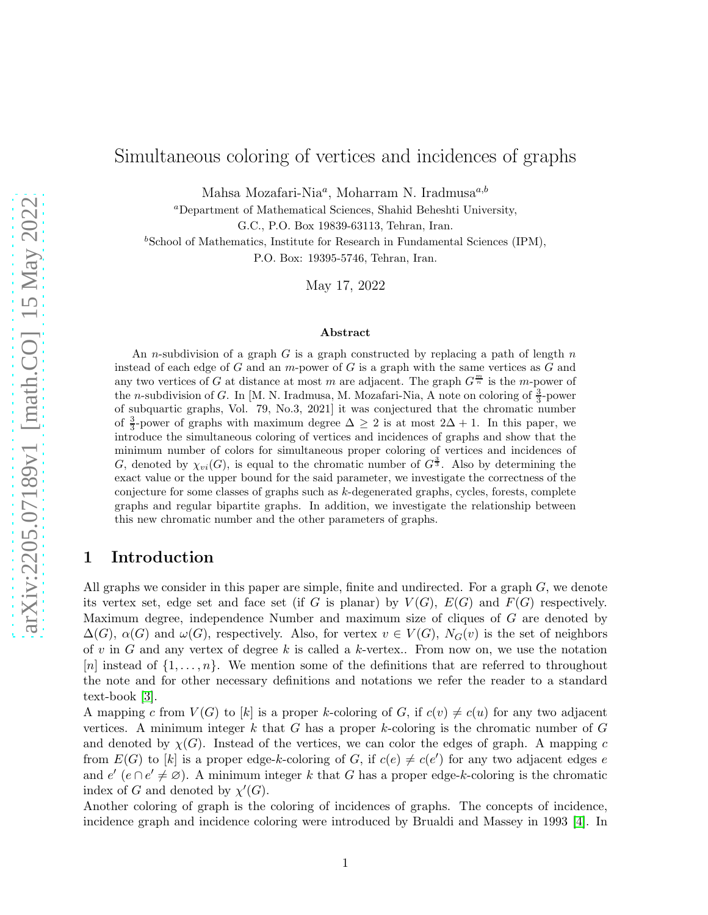# Simultaneous coloring of vertices and incidences of graphs

Mahsa Mozafari-Nia $^a$ , Moharram N. Iradmusa $^{a,b}$ 

<sup>a</sup>Department of Mathematical Sciences, Shahid Beheshti University,

G.C., P.O. Box 19839-63113, Tehran, Iran.

 $b$ School of Mathematics, Institute for Research in Fundamental Sciences (IPM),

P.O. Box: 19395-5746, Tehran, Iran.

May 17, 2022

#### Abstract

An n-subdivision of a graph  $G$  is a graph constructed by replacing a path of length  $n$ instead of each edge of G and an  $m$ -power of G is a graph with the same vertices as G and any two vertices of G at distance at most m are adjacent. The graph  $G^{\frac{m}{n}}$  is the m-power of the *n*-subdivision of G. In [M. N. Iradmusa, M. Mozafari-Nia, A note on coloring of  $\frac{3}{3}$ -power of subquartic graphs, Vol. 79, No.3, 2021] it was conjectured that the chromatic number of  $\frac{3}{3}$ -power of graphs with maximum degree  $\Delta \geq 2$  is at most  $2\Delta + 1$ . In this paper, we introduce the simultaneous coloring of vertices and incidences of graphs and show that the minimum number of colors for simultaneous proper coloring of vertices and incidences of G, denoted by  $\chi_{vi}(G)$ , is equal to the chromatic number of  $G^{\frac{3}{3}}$ . Also by determining the exact value or the upper bound for the said parameter, we investigate the correctness of the conjecture for some classes of graphs such as  $k$ -degenerated graphs, cycles, forests, complete graphs and regular bipartite graphs. In addition, we investigate the relationship between this new chromatic number and the other parameters of graphs.

# 1 Introduction

All graphs we consider in this paper are simple, finite and undirected. For a graph  $G$ , we denote its vertex set, edge set and face set (if G is planar) by  $V(G)$ ,  $E(G)$  and  $F(G)$  respectively. Maximum degree, independence Number and maximum size of cliques of G are denoted by  $\Delta(G)$ ,  $\alpha(G)$  and  $\omega(G)$ , respectively. Also, for vertex  $v \in V(G)$ ,  $N_G(v)$  is the set of neighbors of v in G and any vertex of degree k is called a k-vertex.. From now on, we use the notation [n] instead of  $\{1,\ldots,n\}$ . We mention some of the definitions that are referred to throughout the note and for other necessary definitions and notations we refer the reader to a standard text-book [\[3\]](#page-16-0).

A mapping c from  $V(G)$  to [k] is a proper k-coloring of G, if  $c(v) \neq c(u)$  for any two adjacent vertices. A minimum integer k that G has a proper k-coloring is the chromatic number of  $G$ and denoted by  $\chi(G)$ . Instead of the vertices, we can color the edges of graph. A mapping c from  $E(G)$  to [k] is a proper edge-k-coloring of G, if  $c(e) \neq c(e')$  for any two adjacent edges e and  $e'$  ( $e \cap e' \neq \emptyset$ ). A minimum integer k that G has a proper edge-k-coloring is the chromatic index of G and denoted by  $\chi'(G)$ .

Another coloring of graph is the coloring of incidences of graphs. The concepts of incidence, incidence graph and incidence coloring were introduced by Brualdi and Massey in 1993 [\[4\]](#page-16-1). In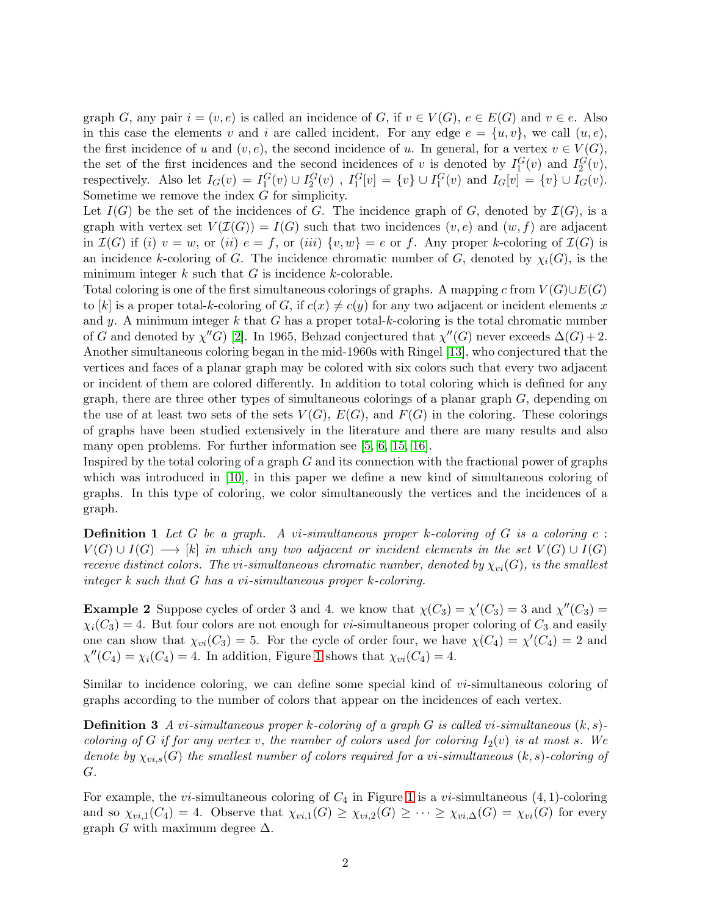graph G, any pair  $i = (v, e)$  is called an incidence of G, if  $v \in V(G)$ ,  $e \in E(G)$  and  $v \in e$ . Also in this case the elements v and i are called incident. For any edge  $e = \{u, v\}$ , we call  $(u, e)$ , the first incidence of u and  $(v, e)$ , the second incidence of u. In general, for a vertex  $v \in V(G)$ , the set of the first incidences and the second incidences of v is denoted by  $I_1^G(v)$  and  $I_2^G(v)$ , respectively. Also let  $I_G(v) = I_1^G(v) \cup I_2^G(v)$ ,  $I_1^G[v] = \{v\} \cup I_1^G(v)$  and  $I_G[v] = \{v\} \cup I_G(v)$ . Sometime we remove the index G for simplicity.

Let  $I(G)$  be the set of the incidences of G. The incidence graph of G, denoted by  $I(G)$ , is a graph with vertex set  $V(\mathcal{I}(G)) = I(G)$  such that two incidences  $(v, e)$  and  $(w, f)$  are adjacent in  $\mathcal{I}(G)$  if (i)  $v = w$ , or (ii)  $e = f$ , or (iii)  $\{v, w\} = e$  or f. Any proper k-coloring of  $\mathcal{I}(G)$  is an incidence k-coloring of G. The incidence chromatic number of G, denoted by  $\chi_i(G)$ , is the minimum integer  $k$  such that  $G$  is incidence  $k$ -colorable.

Total coloring is one of the first simultaneous colorings of graphs. A mapping c from  $V(G) \cup E(G)$ to [k] is a proper total-k-coloring of G, if  $c(x) \neq c(y)$  for any two adjacent or incident elements x and y. A minimum integer k that G has a proper total-k-coloring is the total chromatic number of G and denoted by  $\chi''G$  [\[2\]](#page-16-2). In 1965, Behzad conjectured that  $\chi''(G)$  never exceeds  $\Delta(G) + 2$ . Another simultaneous coloring began in the mid-1960s with Ringel [\[13\]](#page-17-0), who conjectured that the vertices and faces of a planar graph may be colored with six colors such that every two adjacent or incident of them are colored differently. In addition to total coloring which is defined for any graph, there are three other types of simultaneous colorings of a planar graph  $G$ , depending on the use of at least two sets of the sets  $V(G)$ ,  $E(G)$ , and  $F(G)$  in the coloring. These colorings of graphs have been studied extensively in the literature and there are many results and also many open problems. For further information see [\[5,](#page-16-3) [6,](#page-16-4) [15,](#page-17-1) [16\]](#page-17-2).

Inspired by the total coloring of a graph G and its connection with the fractional power of graphs which was introduced in [\[10\]](#page-16-5), in this paper we define a new kind of simultaneous coloring of graphs. In this type of coloring, we color simultaneously the vertices and the incidences of a graph.

Definition 1 *Let* G *be a graph. A* vi*-simultaneous proper* k*-coloring of* G *is a coloring* c :  $V(G) \cup I(G) \longrightarrow [k]$  *in which any two adjacent or incident elements in the set*  $V(G) \cup I(G)$ *receive distinct colors. The vi-simultaneous chromatic number, denoted by*  $\chi_{vi}(G)$ *, is the smallest integer k such that* G *has a* vi*-simultaneous proper* k*-coloring.*

**Example 2** Suppose cycles of order 3 and 4. we know that  $\chi(C_3) = \chi'(C_3) = 3$  and  $\chi''(C_3) =$  $\chi_i(C_3) = 4$ . But four colors are not enough for *vi*-simultaneous proper coloring of  $C_3$  and easily one can show that  $\chi_{vi}(C_3) = 5$ . For the cycle of order four, we have  $\chi(C_4) = \chi'(C_4) = 2$  and  $\chi''(C_4) = \chi_i(C_4) = 4$ . In addition, Figure [1](#page-2-0) shows that  $\chi_{vi}(C_4) = 4$ .

Similar to incidence coloring, we can define some special kind of *vi*-simultaneous coloring of graphs according to the number of colors that appear on the incidences of each vertex.

Definition 3 *A* vi*-simultaneous proper* k*-coloring of a graph* G *is called* vi*-simultaneous* (k, s) *coloring of* G *if for any vertex* v, the number of colors used for coloring  $I_2(v)$  is at most s. We *denote by*  $\chi_{vi,s}(G)$  *the smallest number of colors required for a vi-simultaneous*  $(k, s)$ -coloring of G*.*

For example, the *vi*-simultaneous coloring of  $C_4$  in Figure [1](#page-2-0) is a *vi*-simultaneous  $(4, 1)$ -coloring and so  $\chi_{vi,1}(C_4) = 4$ . Observe that  $\chi_{vi,1}(G) \geq \chi_{vi,2}(G) \geq \cdots \geq \chi_{vi,\Delta}(G) = \chi_{vi}(G)$  for every graph G with maximum degree  $\Delta$ .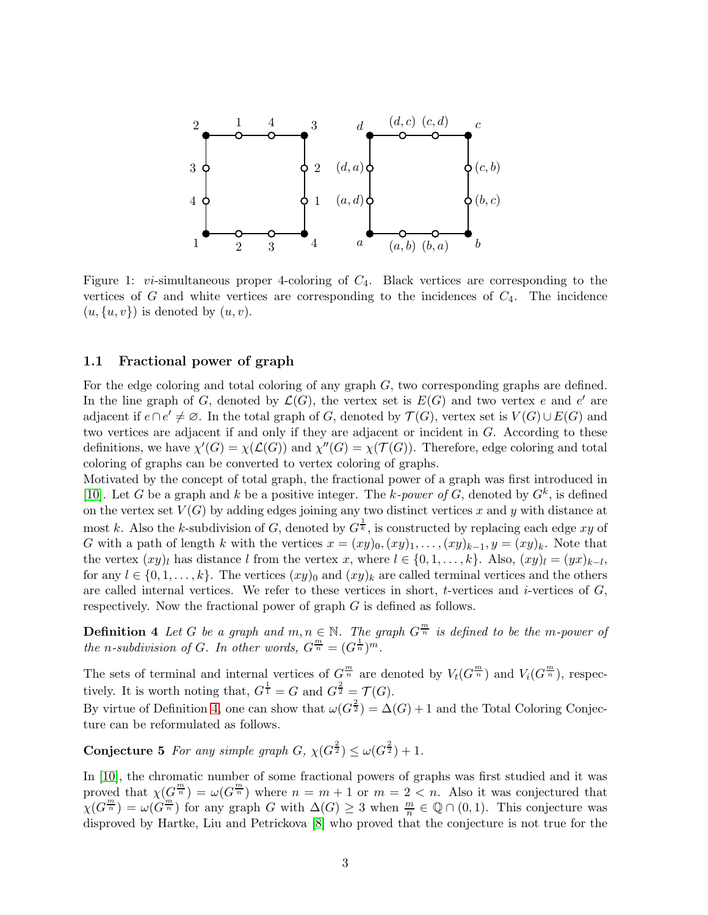

<span id="page-2-0"></span>Figure 1:  $vi$ -simultaneous proper 4-coloring of  $C_4$ . Black vertices are corresponding to the vertices of G and white vertices are corresponding to the incidences of  $C_4$ . The incidence  $(u, \{u, v\})$  is denoted by  $(u, v)$ .

#### 1.1 Fractional power of graph

For the edge coloring and total coloring of any graph G, two corresponding graphs are defined. In the line graph of G, denoted by  $\mathcal{L}(G)$ , the vertex set is  $E(G)$  and two vertex e and e' are adjacent if  $e \cap e' \neq \emptyset$ . In the total graph of G, denoted by  $\mathcal{T}(G)$ , vertex set is  $V(G) \cup E(G)$  and two vertices are adjacent if and only if they are adjacent or incident in G. According to these definitions, we have  $\chi'(G) = \chi(\mathcal{L}(G))$  and  $\chi''(G) = \chi(\mathcal{T}(G))$ . Therefore, edge coloring and total coloring of graphs can be converted to vertex coloring of graphs.

Motivated by the concept of total graph, the fractional power of a graph was first introduced in [\[10\]](#page-16-5). Let G be a graph and k be a positive integer. The k-power of G, denoted by  $G^k$ , is defined on the vertex set  $V(G)$  by adding edges joining any two distinct vertices x and y with distance at most k. Also the k-subdivision of G, denoted by  $G^{\frac{1}{k}}$ , is constructed by replacing each edge xy of G with a path of length k with the vertices  $x = (xy)_0, (xy)_1, \ldots, (xy)_{k-1}, y = (xy)_k$ . Note that the vertex  $(xy)_l$  has distance l from the vertex x, where  $l \in \{0, 1, \ldots, k\}$ . Also,  $(xy)_l = (yx)_{k-l}$ , for any  $l \in \{0, 1, \ldots, k\}$ . The vertices  $(xy)_0$  and  $(xy)_k$  are called terminal vertices and the others are called internal vertices. We refer to these vertices in short, t-vertices and  $i$ -vertices of  $G$ , respectively. Now the fractional power of graph G is defined as follows.

<span id="page-2-1"></span>**Definition 4** Let G be a graph and  $m, n \in \mathbb{N}$ . The graph  $G^{\frac{m}{n}}$  is defined to be the m-power of *the n*-subdivision of *G*. In other words,  $G^{\frac{m}{n}} = (G^{\frac{1}{n}})^{m}$ .

The sets of terminal and internal vertices of  $G^{\frac{m}{n}}$  are denoted by  $V_t(G^{\frac{m}{n}})$  and  $V_i(G^{\frac{m}{n}})$ , respectively. It is worth noting that,  $G^{\frac{1}{1}} = G$  and  $G^{\frac{2}{2}} = \mathcal{T}(G)$ .

By virtue of Definition [4,](#page-2-1) one can show that  $\omega(G^{\frac{2}{2}}) = \Delta(G) + 1$  and the Total Coloring Conjecture can be reformulated as follows.

**Conjecture 5** For any simple graph  $G$ ,  $\chi(G^{\frac{2}{2}}) \leq \omega(G^{\frac{2}{2}}) + 1$ .

In [\[10\]](#page-16-5), the chromatic number of some fractional powers of graphs was first studied and it was proved that  $\chi(G^{\frac{m}{n}}) = \omega(G^{\frac{m}{n}})$  where  $n = m + 1$  or  $m = 2 < n$ . Also it was conjectured that  $\chi(G^{\frac{m}{n}}) = \omega(G^{\frac{m}{n}})$  for any graph G with  $\Delta(G) \geq 3$  when  $\frac{m}{n} \in \mathbb{Q} \cap (0,1)$ . This conjecture was disproved by Hartke, Liu and Petrickova [\[8\]](#page-16-6) who proved that the conjecture is not true for the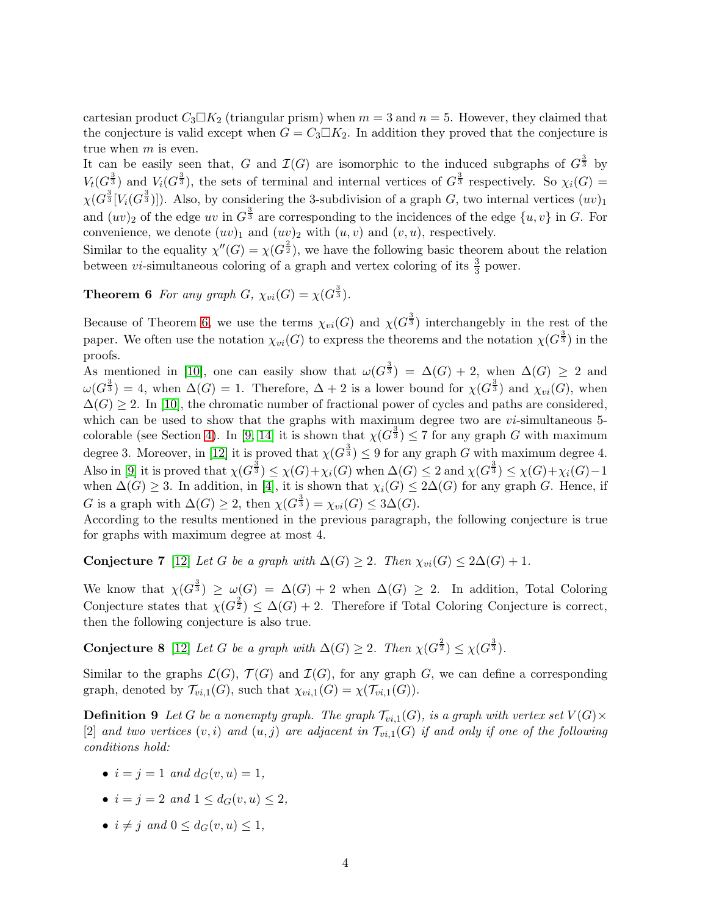cartesian product  $C_3\square K_2$  (triangular prism) when  $m=3$  and  $n=5$ . However, they claimed that the conjecture is valid except when  $G = C_3 \square K_2$ . In addition they proved that the conjecture is true when m is even.

It can be easily seen that, G and  $\mathcal{I}(G)$  are isomorphic to the induced subgraphs of  $G^{\frac{3}{3}}$  by  $V_t(G^{\frac{3}{3}})$  and  $V_i(G^{\frac{3}{3}})$ , the sets of terminal and internal vertices of  $G^{\frac{3}{3}}$  respectively. So  $\chi_i(G)$  =  $\chi(G^{\frac{3}{3}}[V_i(G^{\frac{3}{3}})])$ . Also, by considering the 3-subdivision of a graph G, two internal vertices  $(uv)_1$ and  $(uv)_2$  of the edge uv in  $G^{\frac{3}{3}}$  are corresponding to the incidences of the edge  $\{u, v\}$  in G. For convenience, we denote  $(uv)_1$  and  $(uv)_2$  with  $(u, v)$  and  $(v, u)$ , respectively.

<span id="page-3-0"></span>Similar to the equality  $\chi''(G) = \chi(G^{\frac{2}{2}})$ , we have the following basic theorem about the relation between *vi*-simultaneous coloring of a graph and vertex coloring of its  $\frac{3}{3}$  power.

**Theorem 6** For any graph  $G$ ,  $\chi_{vi}(G) = \chi(G^{\frac{3}{3}})$ .

Because of Theorem [6,](#page-3-0) we use the terms  $\chi_{vi}(G)$  and  $\chi(G^{\frac{3}{3}})$  interchangebly in the rest of the paper. We often use the notation  $\chi_{vi}(G)$  to express the theorems and the notation  $\chi(G^{\frac{3}{3}})$  in the proofs.

As mentioned in [\[10\]](#page-16-5), one can easily show that  $\omega(G^{\frac{3}{3}}) = \Delta(G) + 2$ , when  $\Delta(G) \geq 2$  and  $\omega(G^{\frac{3}{3}})=4$ , when  $\Delta(G)=1$ . Therefore,  $\Delta+2$  is a lower bound for  $\chi(G^{\frac{3}{3}})$  and  $\chi_{vi}(G)$ , when  $\Delta(G) \geq 2$ . In [\[10\]](#page-16-5), the chromatic number of fractional power of cycles and paths are considered, which can be used to show that the graphs with maximum degree two are  $vi$ -simultaneous 5-colorable (see Section [4\)](#page-11-0). In [\[9,](#page-16-7) [14\]](#page-17-3) it is shown that  $\chi(G^{\frac{3}{3}}) \leq 7$  for any graph G with maximum degree 3. Moreover, in [\[12\]](#page-17-4) it is proved that  $\chi(G^{\frac{3}{3}}) \leq 9$  for any graph G with maximum degree 4. Also in [\[9\]](#page-16-7) it is proved that  $\chi(G^{\frac{3}{3}}) \leq \chi(G) + \chi_i(G)$  when  $\Delta(G) \leq 2$  and  $\chi(G^{\frac{3}{3}}) \leq \chi(G) + \chi_i(G) - 1$ when  $\Delta(G) \geq 3$ . In addition, in [\[4\]](#page-16-1), it is shown that  $\chi_i(G) \leq 2\Delta(G)$  for any graph G. Hence, if G is a graph with  $\Delta(G) \geq 2$ , then  $\chi(G^{\frac{3}{3}}) = \chi_{vi}(G) \leq 3\Delta(G)$ .

<span id="page-3-1"></span>According to the results mentioned in the previous paragraph, the following conjecture is true for graphs with maximum degree at most 4.

Conjecture 7 [\[12\]](#page-17-4) *Let* G *be a graph with*  $\Delta(G) \geq 2$ *. Then*  $\chi_{vi}(G) \leq 2\Delta(G) + 1$ *.* 

We know that  $\chi(G^{\frac{3}{3}}) \geq \omega(G) = \Delta(G) + 2$  when  $\Delta(G) \geq 2$ . In addition, Total Coloring Conjecture states that  $\chi(G^{\frac{2}{2}}) \leq \Delta(G) + 2$ . Therefore if Total Coloring Conjecture is correct, then the following conjecture is also true.

**Conjecture 8** [\[12\]](#page-17-4) *Let* G *be a graph with*  $\Delta(G) \geq 2$ *. Then*  $\chi(G^{\frac{2}{2}}) \leq \chi(G^{\frac{3}{3}})$ *.* 

Similar to the graphs  $\mathcal{L}(G)$ ,  $\mathcal{T}(G)$  and  $\mathcal{I}(G)$ , for any graph G, we can define a corresponding graph, denoted by  $\mathcal{T}_{vi,1}(G)$ , such that  $\chi_{vi,1}(G) = \chi(\mathcal{T}_{vi,1}(G))$ .

**Definition 9** Let G be a nonempty graph. The graph  $\mathcal{T}_{vi,1}(G)$ , is a graph with vertex set  $V(G) \times$ [2] and two vertices  $(v, i)$  and  $(u, j)$  are adjacent in  $\mathcal{T}_{vi,1}(G)$  if and only if one of the following *conditions hold:*

- <span id="page-3-2"></span>•  $i = j = 1$  *and*  $d_G(v, u) = 1$ ,
- $i = j = 2$  *and*  $1 \leq d_G(v, u) \leq 2$ ,
- $i \neq j$  and  $0 \leq d_G(v, u) \leq 1$ ,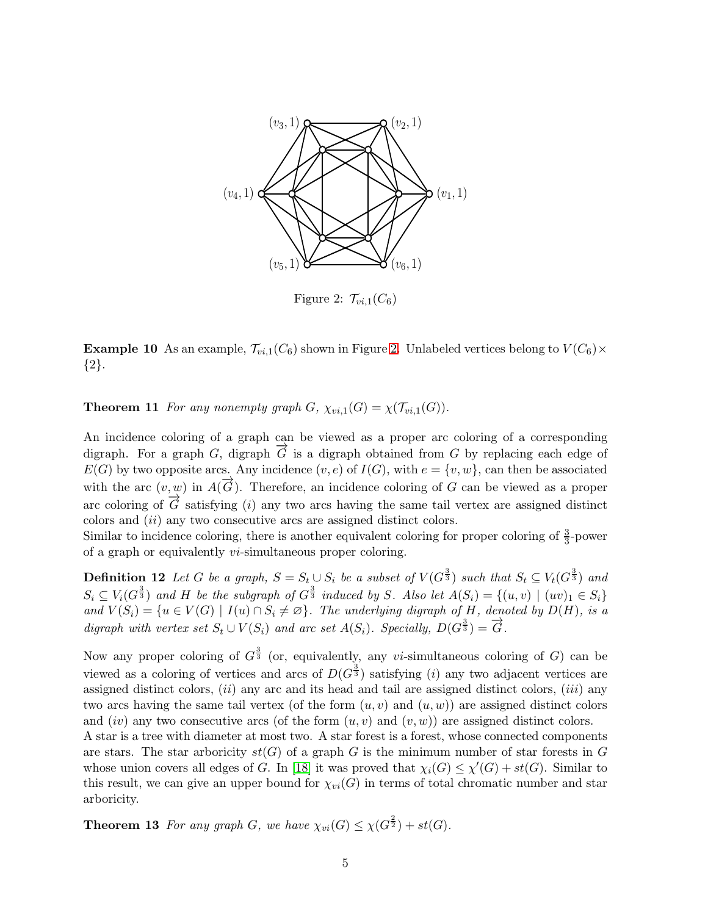

<span id="page-4-0"></span>Figure 2:  $\mathcal{T}_{vi,1}(C_6)$ 

**Example 10** As an example,  $\mathcal{T}_{vi,1}(C_6)$  shown in Figure [2.](#page-4-0) Unlabeled vertices belong to  $V(C_6) \times$ {2}.

<span id="page-4-1"></span>**Theorem 11** *For any nonempty graph*  $G$ *,*  $\chi_{vi,1}(G) = \chi(\mathcal{T}_{vi,1}(G))$ *.* 

An incidence coloring of a graph can be viewed as a proper arc coloring of a corresponding digraph. For a graph G, digraph  $\overline{G}$  is a digraph obtained from G by replacing each edge of  $E(G)$  by two opposite arcs. Any incidence  $(v, e)$  of  $I(G)$ , with  $e = \{v, w\}$ , can then be associated with the arc  $(v, w)$  in  $A(\vec{G})$ . Therefore, an incidence coloring of G can be viewed as a proper arc coloring of  $\overrightarrow{G}$  satisfying (i) any two arcs having the same tail vertex are assigned distinct colors and (ii) any two consecutive arcs are assigned distinct colors.

Similar to incidence coloring, there is another equivalent coloring for proper coloring of  $\frac{3}{3}$ -power of a graph or equivalently vi-simultaneous proper coloring.

Definition 12 Let G be a graph,  $S = S_t \cup S_i$  be a subset of  $V(G^{\frac{3}{3}})$  such that  $S_t \subseteq V_t(G^{\frac{3}{3}})$  and  $S_i \subseteq V_i(G^{\frac{3}{3}})$  and H be the subgraph of  $G^{\frac{3}{3}}$  induced by S. Also let  $A(S_i) = \{(u, v) \mid (uv)_1 \in S_i\}$ *and*  $V(S_i) = \{u \in V(G) \mid I(u) \cap S_i \neq \emptyset\}$ . The underlying digraph of H, denoted by  $D(H)$ , is a *digraph with vertex set*  $S_t \cup V(S_i)$  *and arc set*  $A(S_i)$ *. Specially,*  $D(G^{\frac{3}{3}}) = \overline{G}$ *.* 

Now any proper coloring of  $G^{\frac{3}{3}}$  (or, equivalently, any vi-simultaneous coloring of G) can be viewed as a coloring of vertices and arcs of  $D(G^{\frac{3}{3}})$  satisfying (*i*) any two adjacent vertices are assigned distinct colors,  $(ii)$  any arc and its head and tail are assigned distinct colors,  $(iii)$  any two arcs having the same tail vertex (of the form  $(u, v)$  and  $(u, w)$ ) are assigned distinct colors and  $(iv)$  any two consecutive arcs (of the form  $(u, v)$  and  $(v, w)$ ) are assigned distinct colors.

A star is a tree with diameter at most two. A star forest is a forest, whose connected components are stars. The star arboricity  $st(G)$  of a graph G is the minimum number of star forests in G whose union covers all edges of G. In [\[18\]](#page-17-5) it was proved that  $\chi_i(G) \leq \chi'(G) + st(G)$ . Similar to this result, we can give an upper bound for  $\chi_{vi}(G)$  in terms of total chromatic number and star arboricity.

<span id="page-4-2"></span>**Theorem 13** For any graph G, we have  $\chi_{vi}(G) \leq \chi(G^{\frac{2}{2}}) + st(G)$ .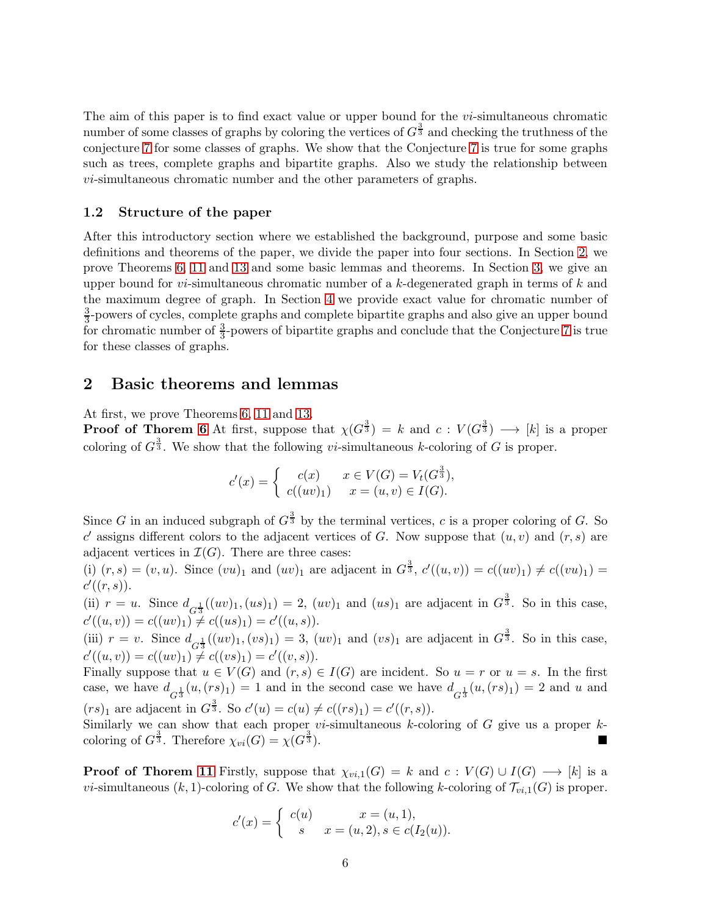The aim of this paper is to find exact value or upper bound for the  $vi$ -simultaneous chromatic number of some classes of graphs by coloring the vertices of  $G^{\frac{3}{3}}$  and checking the truthness of the conjecture [7](#page-3-1) for some classes of graphs. We show that the Conjecture [7](#page-3-1) is true for some graphs such as trees, complete graphs and bipartite graphs. Also we study the relationship between vi-simultaneous chromatic number and the other parameters of graphs.

#### 1.2 Structure of the paper

After this introductory section where we established the background, purpose and some basic definitions and theorems of the paper, we divide the paper into four sections. In Section [2,](#page-5-0) we prove Theorems [6,](#page-3-0) [11](#page-4-1) and [13](#page-4-2) and some basic lemmas and theorems. In Section [3,](#page-8-0) we give an upper bound for *vi*-simultaneous chromatic number of a  $k$ -degenerated graph in terms of  $k$  and the maximum degree of graph. In Section [4](#page-11-0) we provide exact value for chromatic number of 3  $\frac{3}{3}$ -powers of cycles, complete graphs and complete bipartite graphs and also give an upper bound for chromatic number of  $\frac{3}{3}$ -powers of bipartite graphs and conclude that the Conjecture [7](#page-3-1) is true for these classes of graphs.

### <span id="page-5-0"></span>2 Basic theorems and lemmas

At first, we prove Theorems [6,](#page-3-0) [11](#page-4-1) and [13.](#page-4-2)

**Proof of Thorem [6](#page-3-0)** At first, suppose that  $\chi(G^{\frac{3}{3}}) = k$  and  $c: V(G^{\frac{3}{3}}) \longrightarrow [k]$  is a proper coloring of  $G^{\frac{3}{3}}$ . We show that the following *vi*-simultaneous k-coloring of G is proper.

$$
c'(x) = \begin{cases} c(x) & x \in V(G) = V_t(G^{\frac{3}{3}}), \\ c((uv)_1) & x = (u, v) \in I(G). \end{cases}
$$

Since G in an induced subgraph of  $G^{\frac{3}{3}}$  by the terminal vertices, c is a proper coloring of G. So c' assigns different colors to the adjacent vertices of G. Now suppose that  $(u, v)$  and  $(r, s)$  are adjacent vertices in  $\mathcal{I}(G)$ . There are three cases:

(i)  $(r, s) = (v, u)$ . Since  $(vu)_1$  and  $(uv)_1$  are adjacent in  $G^{\frac{3}{3}}$ ,  $c'((u, v)) = c((uv)_1) \neq c((vu)_1) =$  $c'((r,s)).$ 

(ii)  $r = u$ . Since  $d_{G_3^{\frac{1}{3}}}((uv)_1,(us)_1) = 2, (uv)_1$  and  $(us)_1$  are adjacent in  $G_3^{\frac{3}{3}}$ . So in this case,  $c'((u, v)) = c((uv)_1) \neq c((us)_1) = c'((u, s)).$ 

(iii)  $r = v$ . Since  $d_{G^{\frac{1}{3}}}( (uv)_1, (vs)_1 ) = 3, (uv)_1$  and  $(vs)_1$  are adjacent in  $G^{\frac{3}{3}}$ . So in this case,  $c'((u, v)) = c((uv)_1) \neq c((vs)_1) = c'((v, s)).$ 

Finally suppose that  $u \in V(G)$  and  $(r, s) \in I(G)$  are incident. So  $u = r$  or  $u = s$ . In the first case, we have  $d_{G_3^{\frac{1}{3}}}(u,(rs)_1) = 1$  and in the second case we have  $d_{G_3^{\frac{1}{3}}}(u,(rs)_1) = 2$  and u and  $(rs)_1$  are adjacent in  $G^{\frac{3}{3}}$ . So  $c'(u) = c(u) \neq c((rs)_1) = c'((r, s)).$ 

Similarly we can show that each proper *vi*-simultaneous  $k$ -coloring of  $G$  give us a proper  $k$ coloring of  $G^{\frac{3}{3}}$ . Therefore  $\chi_{vi}(G) = \chi(G^{\frac{3}{3}})$  $\frac{3}{3}$ ).

**Proof of Thorem [11](#page-4-1)** Firstly, suppose that  $\chi_{vi,1}(G) = k$  and  $c: V(G) \cup I(G) \longrightarrow [k]$  is a vi-simultaneous  $(k, 1)$ -coloring of G. We show that the following k-coloring of  $\mathcal{T}_{vi,1}(G)$  is proper.

$$
c'(x) = \begin{cases} c(u) & x = (u, 1), \\ s & x = (u, 2), s \in c(I_2(u)). \end{cases}
$$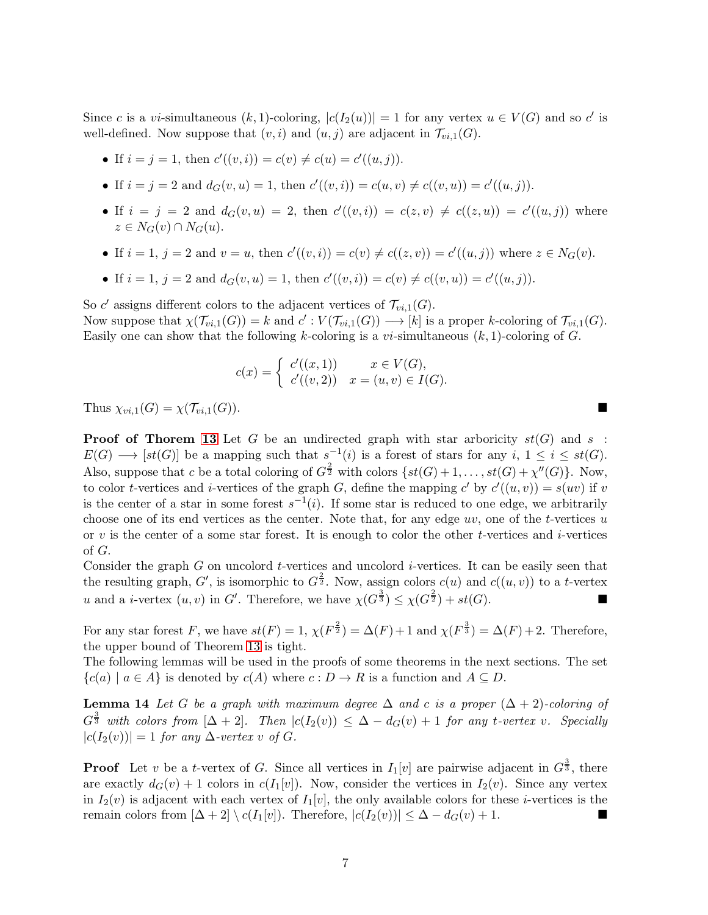Since c is a vi-simultaneous  $(k, 1)$ -coloring,  $|c(I_2(u))|=1$  for any vertex  $u \in V(G)$  and so c' is well-defined. Now suppose that  $(v, i)$  and  $(u, j)$  are adjacent in  $\mathcal{T}_{vi,1}(G)$ .

• If 
$$
i = j = 1
$$
, then  $c'((v, i)) = c(v) \neq c(u) = c'((u, j))$ .

• If  $i = j = 2$  and  $d_G(v, u) = 1$ , then  $c'((v, i)) = c(u, v) \neq c((v, u)) = c'((u, j)).$ 

- If  $i = j = 2$  and  $d_G(v, u) = 2$ , then  $c'((v, i)) = c(z, v) \neq c((z, u)) = c'((u, j))$  where  $z \in N_G(v) \cap N_G(u).$
- If  $i = 1, j = 2$  and  $v = u$ , then  $c'((v, i)) = c(v) \neq c((z, v)) = c'((u, j))$  where  $z \in N_G(v)$ .
- If  $i = 1, j = 2$  and  $d_G(v, u) = 1$ , then  $c'((v, i)) = c(v) \neq c((v, u)) = c'((u, j)).$

So c' assigns different colors to the adjacent vertices of  $\mathcal{T}_{vi,1}(G)$ . Now suppose that  $\chi(\mathcal{T}_{vi,1}(G)) = k$  and  $c' : V(\mathcal{T}_{vi,1}(G)) \longrightarrow [k]$  is a proper k-coloring of  $\mathcal{T}_{vi,1}(G)$ . Easily one can show that the following k-coloring is a *vi*-simultaneous  $(k, 1)$ -coloring of G.

<span id="page-6-0"></span>
$$
c(x) = \begin{cases} c'((x,1)) & x \in V(G), \\ c'((v,2)) & x = (u,v) \in I(G). \end{cases}
$$

Thus  $\chi_{vi,1}(G) = \chi(\mathcal{T}_{vi,1}(G)).$ 

**Proof of Thorem [13](#page-4-2)** Let G be an undirected graph with star arboricity  $st(G)$  and s:  $E(G) \longrightarrow [st(G)]$  be a mapping such that  $s^{-1}(i)$  is a forest of stars for any  $i, 1 \leq i \leq st(G)$ . Also, suppose that c be a total coloring of  $G^{\frac{2}{2}}$  with colors  $\{st(G)+1,\ldots, st(G)+\chi''(G)\}\)$ . Now, to color *t*-vertices and *i*-vertices of the graph G, define the mapping c' by  $c'((u, v)) = s(uv)$  if v is the center of a star in some forest  $s^{-1}(i)$ . If some star is reduced to one edge, we arbitrarily choose one of its end vertices as the center. Note that, for any edge  $uv$ , one of the t-vertices  $u$ or v is the center of a some star forest. It is enough to color the other t-vertices and i-vertices of G.

Consider the graph  $G$  on uncolord *t*-vertices and uncolord *i*-vertices. It can be easily seen that the resulting graph, G', is isomorphic to  $G^{\frac{2}{2}}$ . Now, assign colors  $c(u)$  and  $c((u, v))$  to a t-vertex u and a *i*-vertex  $(u, v)$  in G'. Therefore, we have  $\chi(G^{\frac{3}{2}}) \leq \chi(G^{\frac{2}{2}}) + st(G)$ .

For any star forest F, we have  $st(F) = 1$ ,  $\chi(F^{\frac{2}{2}}) = \Delta(F) + 1$  and  $\chi(F^{\frac{3}{3}}) = \Delta(F) + 2$ . Therefore, the upper bound of Theorem [13](#page-4-2) is tight.

The following lemmas will be used in the proofs of some theorems in the next sections. The set  ${c(a) | a \in A}$  is denoted by  $c(A)$  where  $c: D \to R$  is a function and  $A \subseteq D$ .

**Lemma 14** *Let* G *be a graph with maximum degree*  $\Delta$  *and* c *is a proper*  $(\Delta + 2)$ *-coloring of*  $G^{\frac{3}{3}}$  with colors from  $[\Delta + 2]$ . Then  $|c(I_2(v))| \leq \Delta - d_G(v) + 1$  for any t-vertex v. Specially  $|c(I_2(v))| = 1$  *for any*  $\Delta$ *-vertex* v *of*  $G$ *.* 

**Proof** Let v be a t-vertex of G. Since all vertices in  $I_1[v]$  are pairwise adjacent in  $G^{\frac{3}{3}}$ , there are exactly  $d_G(v) + 1$  colors in  $c(I_1[v])$ . Now, consider the vertices in  $I_2(v)$ . Since any vertex in  $I_2(v)$  is adjacent with each vertex of  $I_1[v]$ , the only available colors for these *i*-vertices is the remain colors from  $[\Delta + 2] \setminus c(I_1[v])$ . Therefore,  $|c(I_2(v))| \leq \Delta - d_G(v) + 1$ .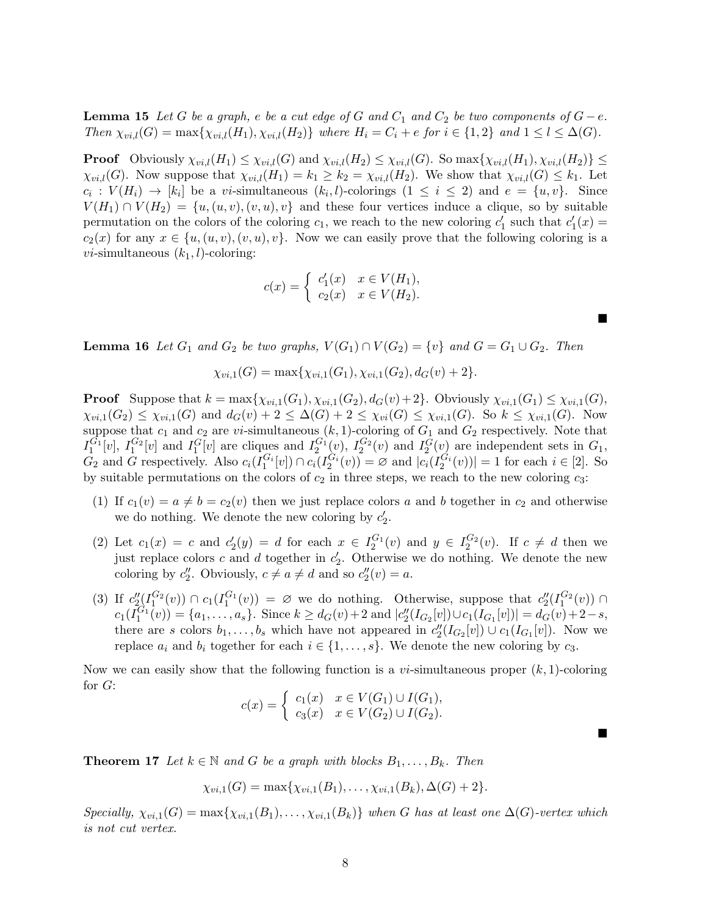**Lemma 15** Let G be a graph, e be a cut edge of G and  $C_1$  and  $C_2$  be two components of  $G - e$ . *Then*  $\chi_{vi,l}(G) = \max\{\chi_{vi,l}(H_1), \chi_{vi,l}(H_2)\}\$  *where*  $H_i = C_i + e$  *for*  $i \in \{1,2\}$  *and*  $1 \leq l \leq \Delta(G)$ *.* 

**Proof** Obviously  $\chi_{vi,l}(H_1) \leq \chi_{vi,l}(G)$  and  $\chi_{vi,l}(H_2) \leq \chi_{vi,l}(G)$ . So  $\max\{\chi_{vi,l}(H_1), \chi_{vi,l}(H_2)\} \leq$  $\chi_{vi,l}(G)$ . Now suppose that  $\chi_{vi,l}(H_1) = k_1 \geq k_2 = \chi_{vi,l}(H_2)$ . We show that  $\chi_{vi,l}(G) \leq k_1$ . Let  $c_i: V(H_i) \to [k_i]$  be a vi-simultaneous  $(k_i, l)$ -colorings  $(1 \leq i \leq 2)$  and  $e = \{u, v\}$ . Since  $V(H_1) \cap V(H_2) = \{u, (u, v), (v, u), v\}$  and these four vertices induce a clique, so by suitable permutation on the colors of the coloring  $c_1$ , we reach to the new coloring  $c'_1$  such that  $c'_1(x) =$  $c_2(x)$  for any  $x \in \{u, (u, v), (v, u), v\}$ . Now we can easily prove that the following coloring is a *vi*-simultaneous  $(k_1, l)$ -coloring:

$$
c(x) = \begin{cases} c'_1(x) & x \in V(H_1), \\ c_2(x) & x \in V(H_2). \end{cases}
$$

 $\blacksquare$ 

 $\blacksquare$ 

<span id="page-7-0"></span>**Lemma 16** Let  $G_1$  and  $G_2$  be two graphs,  $V(G_1) \cap V(G_2) = \{v\}$  and  $G = G_1 \cup G_2$ . Then

$$
\chi_{vi,1}(G) = \max\{\chi_{vi,1}(G_1), \chi_{vi,1}(G_2), d_G(v) + 2\}.
$$

**Proof** Suppose that  $k = \max\{\chi_{vi,1}(G_1), \chi_{vi,1}(G_2), d_G(v)+2\}$ . Obviously  $\chi_{vi,1}(G_1) \leq \chi_{vi,1}(G)$ ,  $\chi_{vi,1}(G_2) \leq \chi_{vi,1}(G)$  and  $d_G(v) + 2 \leq \Delta(G) + 2 \leq \chi_{vi}(G) \leq \chi_{vi,1}(G)$ . So  $k \leq \chi_{vi,1}(G)$ . Now suppose that  $c_1$  and  $c_2$  are vi-simultaneous  $(k, 1)$ -coloring of  $G_1$  and  $G_2$  respectively. Note that  $I_1^{G_1}[v]$ ,  $I_1^{G_2}[v]$  and  $I_1^{G}[v]$  are cliques and  $I_2^{G_1}(v)$ ,  $I_2^{G_2}(v)$  and  $I_2^{G}(v)$  are independent sets in  $G_1$ ,  $G_2$  and  $G$  respectively. Also  $c_i(I_1^{G_i}[v]) \cap c_i(I_2^{G_i}(v)) = \emptyset$  and  $|c_i(I_2^{G_i}(v))| = 1$  for each  $i \in [2]$ . So by suitable permutations on the colors of  $c_2$  in three steps, we reach to the new coloring  $c_3$ :

- (1) If  $c_1(v) = a \neq b = c_2(v)$  then we just replace colors a and b together in  $c_2$  and otherwise we do nothing. We denote the new coloring by  $c'_2$ .
- (2) Let  $c_1(x) = c$  and  $c'_2(y) = d$  for each  $x \in I_2^{G_1}(v)$  and  $y \in I_2^{G_2}(v)$ . If  $c \neq d$  then we just replace colors c and d together in  $c'_2$ . Otherwise we do nothing. We denote the new coloring by  $c''_2$ . Obviously,  $c \neq a \neq d$  and so  $c''_2(v) = a$ .
- (3) If  $c''_2(I_1^{G_2}(v)) \cap c_1(I_1^{G_1}(v)) = \emptyset$  we do nothing. Otherwise, suppose that  $c''_2(I_1^{G_2}(v)) \cap$  $c_1(I_1^{G_1}(v)) = \{a_1, \ldots, a_s\}.$  Since  $k \geq d_G(v) + 2$  and  $|c''_2(I_{G_2}[v]) \cup c_1(I_{G_1}[v])| = d_G(v) + 2 - s$ , there are s colors  $b_1, \ldots, b_s$  which have not appeared in  $c''_2(I_{G_2}[v]) \cup c_1(I_{G_1}[v])$ . Now we replace  $a_i$  and  $b_i$  together for each  $i \in \{1, \ldots, s\}$ . We denote the new coloring by  $c_3$ .

Now we can easily show that the following function is a *vi*-simultaneous proper  $(k, 1)$ -coloring for G:

$$
c(x) = \begin{cases} c_1(x) & x \in V(G_1) \cup I(G_1), \\ c_3(x) & x \in V(G_2) \cup I(G_2). \end{cases}
$$

**Theorem 17** *Let*  $k \in \mathbb{N}$  *and G be a graph with blocks*  $B_1, \ldots, B_k$ *. Then* 

$$
\chi_{vi,1}(G) = \max{\chi_{vi,1}(B_1),\ldots,\chi_{vi,1}(B_k), \Delta(G)+2}.
$$

 $Specially, \chi_{vi,1}(G) = \max{\chi_{vi,1}(B_1), \ldots, \chi_{vi,1}(B_k)}$  when G has at least one  $\Delta(G)$ -vertex which *is not cut vertex.*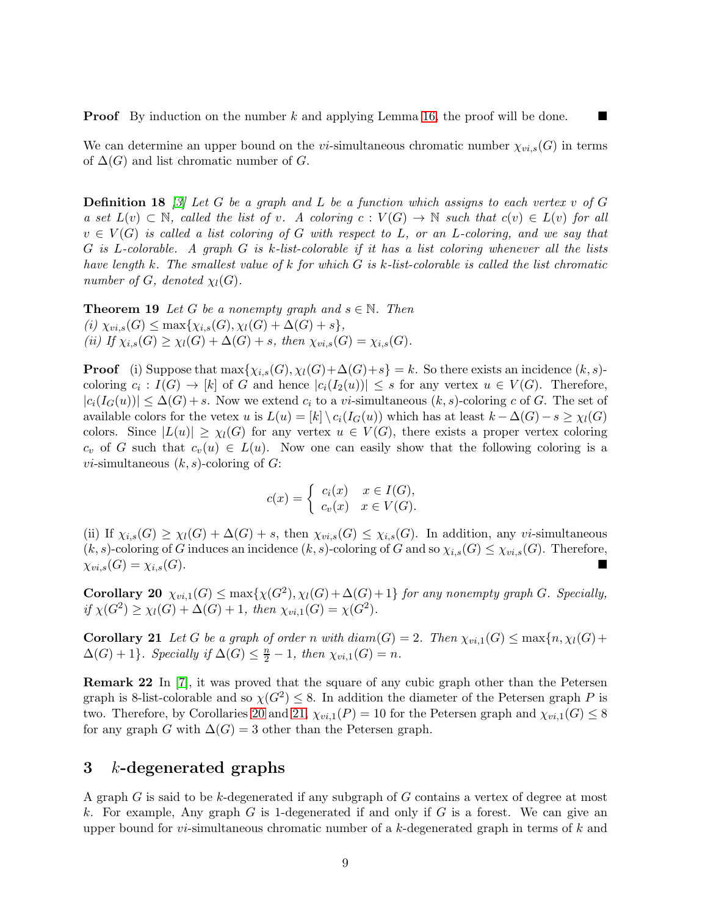**Proof** By induction on the number k and applying Lemma [16,](#page-7-0) the proof will be done.

### We can determine an upper bound on the vi-simultaneous chromatic number  $\chi_{vi,s}(G)$  in terms of  $\Delta(G)$  and list chromatic number of G.

Definition 18 *[\[3\]](#page-16-0) Let* G *be a graph and* L *be a function which assigns to each vertex* v *of* G *a set*  $L(v)$  ⊂ N, called the list of v. A coloring c :  $V(G)$  → N such that  $c(v) \in L(v)$  for all v ∈ V (G) *is called a list coloring of* G *with respect to* L*, or an* L*-coloring, and we say that* G *is* L*-colorable. A graph* G *is* k*-list-colorable if it has a list coloring whenever all the lists have length* k*. The smallest value of* k *for which* G *is* k*-list-colorable is called the list chromatic number of G, denoted*  $\chi_l(G)$ *.* 

**Theorem 19** *Let* G *be a nonempty graph and*  $s \in \mathbb{N}$ *. Then*  $(i)$   $\chi_{vi,s}(G) \leq \max{\chi_{i,s}(G), \chi_l(G) + \Delta(G) + s}$ *(ii)* If  $\chi_{i,s}(G) \geq \chi_l(G) + \Delta(G) + s$ , then  $\chi_{vi,s}(G) = \chi_{i,s}(G)$ .

**Proof** (i) Suppose that  $\max\{\chi_{i,s}(G), \chi_l(G)+\Delta(G)+s\} = k$ . So there exists an incidence  $(k, s)$ coloring  $c_i: I(G) \to [k]$  of G and hence  $|c_i(I_2(u))| \leq s$  for any vertex  $u \in V(G)$ . Therefore,  $|c_i(I_G(u))| \leq \Delta(G) + s$ . Now we extend  $c_i$  to a *vi*-simultaneous  $(k, s)$ -coloring c of G. The set of available colors for the vetex u is  $L(u) = |k| \setminus c_i(I_G(u))$  which has at least  $k - \Delta(G) - s \geq \chi_l(G)$ colors. Since  $|L(u)| \geq \chi_l(G)$  for any vertex  $u \in V(G)$ , there exists a proper vertex coloring  $c_v$  of G such that  $c_v(u) \in L(u)$ . Now one can easily show that the following coloring is a *vi*-simultaneous  $(k, s)$ -coloring of  $G$ :

$$
c(x) = \begin{cases} c_i(x) & x \in I(G), \\ c_v(x) & x \in V(G). \end{cases}
$$

(ii) If  $\chi_{i,s}(G) \geq \chi_l(G) + \Delta(G) + s$ , then  $\chi_{vi,s}(G) \leq \chi_{i,s}(G)$ . In addition, any vi-simultaneous  $(k, s)$ -coloring of G induces an incidence  $(k, s)$ -coloring of G and so  $\chi_{i,s}(G) \leq \chi_{vi,s}(G)$ . Therefore,  $\chi_{vi,s}(G) = \chi_{i,s}(G).$ 

<span id="page-8-1"></span>Corollary 20  $\chi_{vi,1}(G) \le \max{\{\chi(G^2), \chi_l(G) + \Delta(G) + 1\}}$  *for any nonempty graph G. Specially,*  $if \chi(G^2) \geq \chi_l(G) + \Delta(G) + 1, then \chi_{vi,1}(G) = \chi(G^2).$ 

<span id="page-8-2"></span>**Corollary 21** Let G be a graph of order n with  $diam(G) = 2$ . Then  $\chi_{vi,1}(G) \leq max\{n, \chi_l(G)+1\}$  $\Delta(G) + 1$ *}. Specially if*  $\Delta(G) \leq \frac{n}{2} - 1$ *, then*  $\chi_{vi,1}(G) = n$ *.* 

Remark 22 In [\[7\]](#page-16-8), it was proved that the square of any cubic graph other than the Petersen graph is 8-list-colorable and so  $\chi(G^2) \leq 8$ . In addition the diameter of the Petersen graph P is two. Therefore, by Corollaries [20](#page-8-1) and [21,](#page-8-2)  $\chi_{vi,1}(P) = 10$  for the Petersen graph and  $\chi_{vi,1}(G) \leq 8$ for any graph G with  $\Delta(G) = 3$  other than the Petersen graph.

# <span id="page-8-0"></span>3 k-degenerated graphs

A graph G is said to be k-degenerated if any subgraph of G contains a vertex of degree at most k. For example, Any graph G is 1-degenerated if and only if G is a forest. We can give an upper bound for *vi*-simultaneous chromatic number of a k-degenerated graph in terms of k and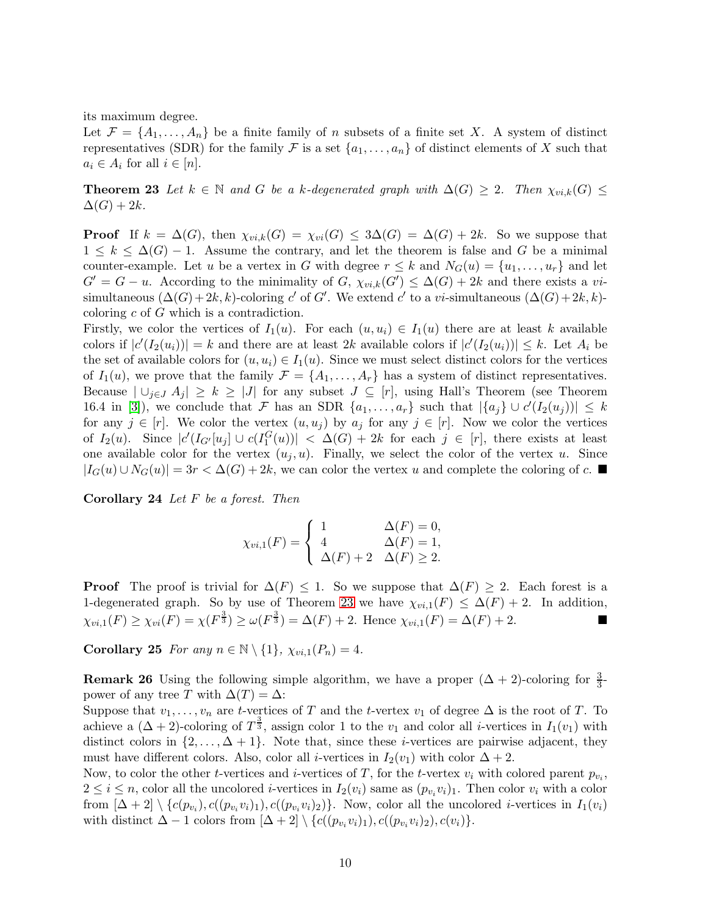its maximum degree.

<span id="page-9-0"></span>Let  $\mathcal{F} = \{A_1, \ldots, A_n\}$  be a finite family of n subsets of a finite set X. A system of distinct representatives (SDR) for the family F is a set  $\{a_1, \ldots, a_n\}$  of distinct elements of X such that  $a_i \in A_i$  for all  $i \in [n]$ .

**Theorem 23** Let  $k \in \mathbb{N}$  and G be a k-degenerated graph with  $\Delta(G) \geq 2$ . Then  $\chi_{vi,k}(G) \leq$  $\Delta(G) + 2k$ .

**Proof** If  $k = \Delta(G)$ , then  $\chi_{vi,k}(G) = \chi_{vi}(G) \leq 3\Delta(G) = \Delta(G) + 2k$ . So we suppose that  $1 \leq k \leq \Delta(G) - 1$ . Assume the contrary, and let the theorem is false and G be a minimal counter-example. Let u be a vertex in G with degree  $r \leq k$  and  $N_G(u) = \{u_1, \ldots, u_r\}$  and let  $G' = G - u$ . According to the minimality of  $G$ ,  $\chi_{vi,k}(G') \leq \Delta(G) + 2k$  and there exists a visimultaneous  $(\Delta(G) + 2k, k)$ -coloring c' of G'. We extend c' to a vi-simultaneous  $(\Delta(G) + 2k, k)$ coloring c of G which is a contradiction.

Firstly, we color the vertices of  $I_1(u)$ . For each  $(u, u_i) \in I_1(u)$  there are at least k available colors if  $|c'(I_2(u_i))|=k$  and there are at least 2k available colors if  $|c'(I_2(u_i))| \leq k$ . Let  $A_i$  be the set of available colors for  $(u, u_i) \in I_1(u)$ . Since we must select distinct colors for the vertices of  $I_1(u)$ , we prove that the family  $\mathcal{F} = \{A_1, \ldots, A_r\}$  has a system of distinct representatives. Because  $|\bigcup_{j\in J} A_j| \geq k \geq |J|$  for any subset  $J \subseteq [r]$ , using Hall's Theorem (see Theorem 16.4 in [\[3\]](#page-16-0)), we conclude that F has an SDR  $\{a_1, \ldots, a_r\}$  such that  $|\{a_j\} \cup c'(I_2(u_j))| \leq k$ for any  $j \in [r]$ . We color the vertex  $(u, u_j)$  by  $a_j$  for any  $j \in [r]$ . Now we color the vertices of  $I_2(u)$ . Since  $|c'(I_{G'}[u_j] \cup c(I_1^G(u))| < \Delta(G) + 2k$  for each  $j \in [r]$ , there exists at least one available color for the vertex  $(u_i, u)$ . Finally, we select the color of the vertex u. Since  $|I_G(u) \cup N_G(u)| = 3r < \Delta(G) + 2k$ , we can color the vertex u and complete the coloring of c.

<span id="page-9-1"></span>Corollary 24 *Let* F *be a forest. Then*

$$
\chi_{vi,1}(F) = \begin{cases} 1 & \Delta(F) = 0, \\ 4 & \Delta(F) = 1, \\ \Delta(F) + 2 & \Delta(F) \ge 2. \end{cases}
$$

**Proof** The proof is trivial for  $\Delta(F) \leq 1$ . So we suppose that  $\Delta(F) \geq 2$ . Each forest is a 1-degenerated graph. So by use of Theorem [23](#page-9-0) we have  $\chi_{vi,1}(F) \leq \Delta(F) + 2$ . In addition,  $\chi_{vi,1}(F) \ge \chi_{vi}(F) = \chi(F^{\frac{3}{3}}) \ge \omega(F^{\frac{3}{3}}) = \Delta(F) + 2.$  Hence  $\chi_{vi,1}(F) = \Delta(F) + 2.$ 

**Corollary 25** *For any*  $n \in \mathbb{N} \setminus \{1\}$ ,  $\chi_{vi,1}(P_n) = 4$ .

**Remark 26** Using the following simple algorithm, we have a proper  $(\Delta + 2)$ -coloring for  $\frac{3}{3}$ power of any tree T with  $\Delta(T) = \Delta$ :

Suppose that  $v_1, \ldots, v_n$  are t-vertices of T and the t-vertex  $v_1$  of degree  $\Delta$  is the root of T. To achieve a  $(\Delta + 2)$ -coloring of  $T^{\frac{3}{3}}$ , assign color 1 to the  $v_1$  and color all *i*-vertices in  $I_1(v_1)$  with distinct colors in  $\{2,\ldots,\Delta+1\}$ . Note that, since these *i*-vertices are pairwise adjacent, they must have different colors. Also, color all *i*-vertices in  $I_2(v_1)$  with color  $\Delta + 2$ .

Now, to color the other *t*-vertices and *i*-vertices of T, for the *t*-vertex  $v_i$  with colored parent  $p_{v_i}$ ,  $2 \leq i \leq n$ , color all the uncolored *i*-vertices in  $I_2(v_i)$  same as  $(p_{v_i}v_i)_1$ . Then color  $v_i$  with a color from  $[\Delta + 2] \setminus \{c(p_{v_i}), c((p_{v_i}v_i)_1), c((p_{v_i}v_i)_2)\}$ . Now, color all the uncolored *i*-vertices in  $I_1(v_i)$ with distinct  $\Delta - 1$  colors from  $[\Delta + 2] \setminus \{c((p_{v_i}v_i)_1), c((p_{v_i}v_i)_2), c(v_i)\}.$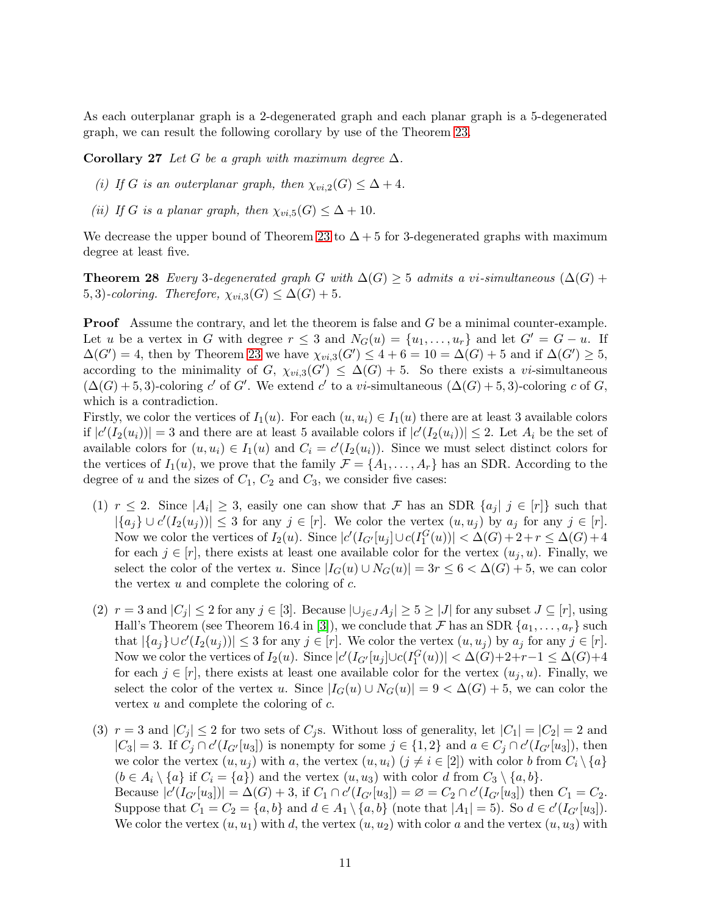As each outerplanar graph is a 2-degenerated graph and each planar graph is a 5-degenerated graph, we can result the following corollary by use of the Theorem [23.](#page-9-0)

Corollary 27 *Let* G *be a graph with maximum degree*  $\Delta$ *.* 

- *(i)* If G is an outerplanar graph, then  $\chi_{vi,2}(G) \leq \Delta + 4$ .
- *(ii)* If G is a planar graph, then  $\chi_{vi,5}(G) \leq \Delta + 10$ .

<span id="page-10-0"></span>We decrease the upper bound of Theorem [23](#page-9-0) to  $\Delta + 5$  for 3-degenerated graphs with maximum degree at least five.

**Theorem 28** *Every* 3-degenerated graph G with  $\Delta(G) \geq 5$  admits a vi-simultaneous ( $\Delta(G)$  + 5, 3)-coloring. Therefore,  $\chi_{vi,3}(G) \leq \Delta(G) + 5$ .

Proof Assume the contrary, and let the theorem is false and G be a minimal counter-example. Let u be a vertex in G with degree  $r \leq 3$  and  $N_G(u) = \{u_1, \ldots, u_r\}$  and let  $G' = G - u$ . If  $\Delta(G') = 4$ , then by Theorem [23](#page-9-0) we have  $\chi_{vi,3}(G') \leq 4 + 6 = 10 = \Delta(G) + 5$  and if  $\Delta(G') \geq 5$ , according to the minimality of G,  $\chi_{vi,3}(G') \leq \Delta(G) + 5$ . So there exists a vi-simultaneous  $(\Delta(G) + 5, 3)$ -coloring c' of G'. We extend c' to a vi-simultaneous  $(\Delta(G) + 5, 3)$ -coloring c of G, which is a contradiction.

Firstly, we color the vertices of  $I_1(u)$ . For each  $(u, u_i) \in I_1(u)$  there are at least 3 available colors if  $|c'(I_2(u_i))|=3$  and there are at least 5 available colors if  $|c'(I_2(u_i))|\leq 2$ . Let  $A_i$  be the set of available colors for  $(u, u_i) \in I_1(u)$  and  $C_i = c'(I_2(u_i))$ . Since we must select distinct colors for the vertices of  $I_1(u)$ , we prove that the family  $\mathcal{F} = \{A_1, \ldots, A_r\}$  has an SDR. According to the degree of u and the sizes of  $C_1$ ,  $C_2$  and  $C_3$ , we consider five cases:

- (1)  $r \leq 2$ . Since  $|A_i| \geq 3$ , easily one can show that F has an SDR  $\{a_j | j \in [r]\}$  such that  $|\{a_j\} \cup c'(I_2(u_j))| \leq 3$  for any  $j \in [r]$ . We color the vertex  $(u, u_j)$  by  $a_j$  for any  $j \in [r]$ . Now we color the vertices of  $I_2(u)$ . Since  $|c'(I_{G'}[u_j] \cup c(I_1^G(u))| < \Delta(G)+2+r \leq \Delta(G)+4$ for each  $j \in [r]$ , there exists at least one available color for the vertex  $(u_i, u)$ . Finally, we select the color of the vertex u. Since  $|I_G(u) \cup N_G(u)| = 3r \leq 6 < \Delta(G) + 5$ , we can color the vertex  $u$  and complete the coloring of  $c$ .
- (2)  $r = 3$  and  $|C_j| \le 2$  for any  $j \in [3]$ . Because  $|\bigcup_{j \in J} A_j| \ge 5 \ge |J|$  for any subset  $J \subseteq [r]$ , using Hall's Theorem (see Theorem 16.4 in [\[3\]](#page-16-0)), we conclude that F has an SDR  $\{a_1, \ldots, a_r\}$  such that  $|\{a_j\} \cup c'(I_2(u_j))| \leq 3$  for any  $j \in [r]$ . We color the vertex  $(u, u_j)$  by  $a_j$  for any  $j \in [r]$ . Now we color the vertices of  $I_2(u)$ . Since  $|c'(I_{G'}[u_j] \cup c(I_1^G(u))| < \Delta(G)+2+r-1 \leq \Delta(G)+4$ for each  $j \in [r]$ , there exists at least one available color for the vertex  $(u_j, u)$ . Finally, we select the color of the vertex u. Since  $|I_G(u) \cup N_G(u)| = 9 < \Delta(G) + 5$ , we can color the vertex  $u$  and complete the coloring of  $c$ .
- (3)  $r = 3$  and  $|C_i| \le 2$  for two sets of  $C_i$ s. Without loss of generality, let  $|C_1| = |C_2| = 2$  and  $|C_3| = 3$ . If  $C_j \cap c'(I_{G'}[u_3])$  is nonempty for some  $j \in \{1,2\}$  and  $a \in C_j \cap c'(I_{G'}[u_3])$ , then we color the vertex  $(u, u_j)$  with a, the vertex  $(u, u_i)$   $(j \neq i \in [2])$  with color b from  $C_i \setminus \{a\}$  $(b \in A_i \setminus \{a\}$  if  $C_i = \{a\})$  and the vertex  $(u, u_3)$  with color d from  $C_3 \setminus \{a, b\}.$ Because  $|c'(I_{G'}[u_3])| = \Delta(G) + 3$ , if  $C_1 \cap c'(I_{G'}[u_3]) = \emptyset = C_2 \cap c'(I_{G'}[u_3])$  then  $C_1 = C_2$ . Suppose that  $C_1 = C_2 = \{a, b\}$  and  $d \in A_1 \setminus \{a, b\}$  (note that  $|A_1| = 5$ ). So  $d \in c'(I_{G'}[u_3])$ . We color the vertex  $(u, u_1)$  with d, the vertex  $(u, u_2)$  with color a and the vertex  $(u, u_3)$  with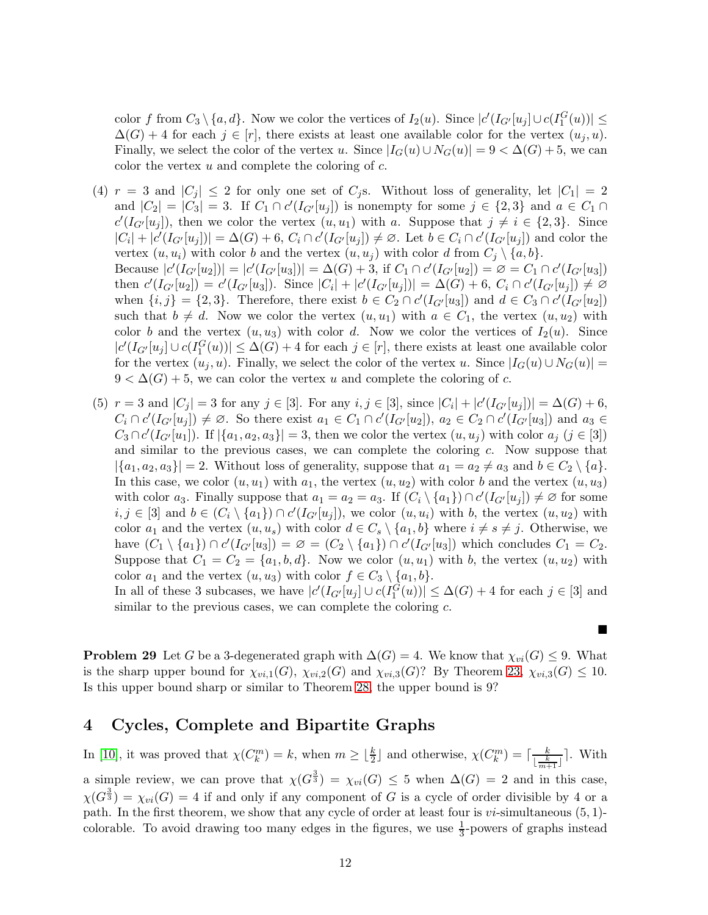color f from  $C_3 \setminus \{a, d\}$ . Now we color the vertices of  $I_2(u)$ . Since  $|c'(I_{G'}[u_j] \cup c(I_1^G(u))| \le$  $\Delta(G) + 4$  for each  $j \in [r]$ , there exists at least one available color for the vertex  $(u_i, u)$ . Finally, we select the color of the vertex u. Since  $|I_G(u) \cup N_G(u)| = 9 < \Delta(G) + 5$ , we can color the vertex  $u$  and complete the coloring of  $c$ .

- (4)  $r = 3$  and  $|C_j| \leq 2$  for only one set of  $C_j$ s. Without loss of generality, let  $|C_1| = 2$ and  $|C_2| = |C_3| = 3$ . If  $C_1 \cap c'(I_{G'}[u_j])$  is nonempty for some  $j \in \{2,3\}$  and  $a \in C_1 \cap$  $c'(I_{G'}[u_j])$ , then we color the vertex  $(u, u_1)$  with a. Suppose that  $j \neq i \in \{2, 3\}$ . Since  $|C_i| + |c'(I_{G'}[u_j])| = \Delta(G) + 6$ ,  $C_i \cap c'(I_{G'}[u_j]) \neq \emptyset$ . Let  $b \in C_i \cap c'(I_{G'}[u_j])$  and color the vertex  $(u, u_i)$  with color b and the vertex  $(u, u_j)$  with color d from  $C_i \setminus \{a, b\}.$ Because  $|c'(I_{G'}[u_2])| = |c'(I_{G'}[u_3])| = \Delta(G) + 3$ , if  $C_1 \cap c'(I_{G'}[u_2]) = \emptyset = C_1 \cap c'(I_{G'}[u_3])$ then  $c'(I_{G'}[u_2]) = c'(I_{G'}[u_3])$ . Since  $|C_i| + |c'(I_{G'}[u_j])| = \Delta(G) + 6$ ,  $C_i \cap c'(I_{G'}[u_j]) \neq \emptyset$ when  $\{i, j\} = \{2, 3\}$ . Therefore, there exist  $b \in C_2 \cap c'(I_{G'}[u_3])$  and  $d \in C_3 \cap c'(I_{G'}[u_2])$ such that  $b \neq d$ . Now we color the vertex  $(u, u_1)$  with  $a \in C_1$ , the vertex  $(u, u_2)$  with color b and the vertex  $(u, u_3)$  with color d. Now we color the vertices of  $I_2(u)$ . Since  $|c'(I_{G'}[u_j] \cup c(I_1^G(u))| \leq \Delta(G) + 4$  for each  $j \in [r]$ , there exists at least one available color for the vertex  $(u_i, u)$ . Finally, we select the color of the vertex u. Since  $|I_G(u) \cup N_G(u)| =$  $9 < \Delta(G) + 5$ , we can color the vertex u and complete the coloring of c.
- (5)  $r = 3$  and  $|C_j| = 3$  for any  $j \in [3]$ . For any  $i, j \in [3]$ , since  $|C_i| + |c'(I_{G'}[u_j])| = \Delta(G) + 6$ ,  $C_i \cap c'(I_{G'}[u_j]) \neq \emptyset$ . So there exist  $a_1 \in C_1 \cap c'(I_{G'}[u_2])$ ,  $a_2 \in C_2 \cap c'(I_{G'}[u_3])$  and  $a_3 \in C_3$  $C_3 \cap c'(I_{G'}[u_1])$ . If  $|\{a_1, a_2, a_3\}| = 3$ , then we color the vertex  $(u, u_j)$  with color  $a_j$   $(j \in [3])$ and similar to the previous cases, we can complete the coloring  $c$ . Now suppose that  $|\{a_1, a_2, a_3\}| = 2$ . Without loss of generality, suppose that  $a_1 = a_2 \neq a_3$  and  $b \in C_2 \setminus \{a\}.$ In this case, we color  $(u, u_1)$  with  $a_1$ , the vertex  $(u, u_2)$  with color b and the vertex  $(u, u_3)$ with color  $a_3$ . Finally suppose that  $a_1 = a_2 = a_3$ . If  $(C_i \setminus \{a_1\}) \cap c'(I_{G'}[u_j]) \neq \emptyset$  for some  $i, j \in [3]$  and  $b \in (C_i \setminus \{a_1\}) \cap c'(I_{G'}[u_j])$ , we color  $(u, u_i)$  with b, the vertex  $(u, u_2)$  with color  $a_1$  and the vertex  $(u, u_s)$  with color  $d \in C_s \setminus \{a_1, b\}$  where  $i \neq s \neq j$ . Otherwise, we have  $(C_1 \setminus \{a_1\}) \cap c'(I_{G'}[u_3]) = \emptyset = (C_2 \setminus \{a_1\}) \cap c'(I_{G'}[u_3])$  which concludes  $C_1 = C_2$ . Suppose that  $C_1 = C_2 = \{a_1, b, d\}$ . Now we color  $(u, u_1)$  with b, the vertex  $(u, u_2)$  with color  $a_1$  and the vertex  $(u, u_3)$  with color  $f \in C_3 \setminus \{a_1, b\}.$

In all of these 3 subcases, we have  $|c'(I_{G'}[u_j] \cup c(I_1^G(u))| \leq \Delta(G) + 4$  for each  $j \in [3]$  and similar to the previous cases, we can complete the coloring  $c$ .

ш

**Problem 29** Let G be a 3-degenerated graph with  $\Delta(G) = 4$ . We know that  $\chi_{vi}(G) \leq 9$ . What is the sharp upper bound for  $\chi_{vi,1}(G)$ ,  $\chi_{vi,2}(G)$  and  $\chi_{vi,3}(G)$ ? By Theorem [23,](#page-9-0)  $\chi_{vi,3}(G) \leq 10$ . Is this upper bound sharp or similar to Theorem [28,](#page-10-0) the upper bound is 9?

# <span id="page-11-0"></span>4 Cycles, Complete and Bipartite Graphs

In [\[10\]](#page-16-5), it was proved that  $\chi(C_k^m) = k$ , when  $m \geq \lfloor \frac{k}{2} \rfloor$  and otherwise,  $\chi(C_k^m) = \lceil \frac{k}{\lfloor \frac{k}{2} \rfloor} \rceil$  $\frac{k}{\lfloor \frac{k}{m+1} \rfloor}$ . With a simple review, we can prove that  $\chi(G^{\frac{3}{3}}) = \chi_{vi}(G) \leq 5$  when  $\Delta(G) = 2$  and in this case,  $\chi(G^{\frac{3}{3}}) = \chi_{vi}(G) = 4$  if and only if any component of G is a cycle of order divisible by 4 or a path. In the first theorem, we show that any cycle of order at least four is  $vi$ -simultaneous  $(5, 1)$ colorable. To avoid drawing too many edges in the figures, we use  $\frac{1}{3}$ -powers of graphs instead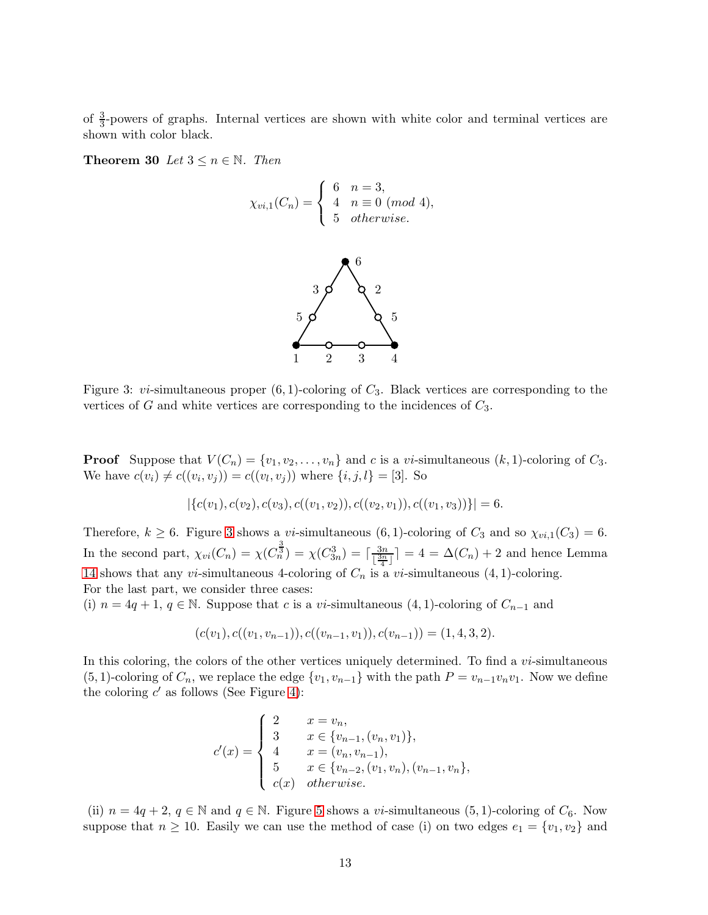of  $\frac{3}{3}$ -powers of graphs. Internal vertices are shown with white color and terminal vertices are shown with color black.

**Theorem 30** *Let*  $3 \le n \in \mathbb{N}$ *. Then* 

$$
\chi_{vi,1}(C_n) = \begin{cases} 6 & n = 3, \\ 4 & n \equiv 0 \pmod{4}, \\ 5 & otherwise. \end{cases}
$$



<span id="page-12-0"></span>Figure 3: *vi*-simultaneous proper  $(6, 1)$ -coloring of  $C_3$ . Black vertices are corresponding to the vertices of  $G$  and white vertices are corresponding to the incidences of  $C_3$ .

**Proof** Suppose that  $V(C_n) = \{v_1, v_2, \ldots, v_n\}$  and c is a vi-simultaneous  $(k, 1)$ -coloring of  $C_3$ . We have  $c(v_i) \neq c((v_i, v_j)) = c((v_l, v_j))$  where  $\{i, j, l\} = [3]$ . So

$$
|\{c(v_1), c(v_2), c(v_3), c((v_1, v_2)), c((v_2, v_1)), c((v_1, v_3))\}| = 6.
$$

Therefore,  $k \geq 6$ . Figure [3](#page-12-0) shows a *vi*-simultaneous  $(6, 1)$ -coloring of  $C_3$  and so  $\chi_{vi,1}(C_3) = 6$ . In the second part,  $\chi_{vi}(C_n) = \chi(C_{n}^{\frac{3}{3}}) = \chi(C_{3n}^3) = \lceil \frac{3n}{13n} \rceil$  $\left\lfloor \frac{3n}{\frac{3n}{4}} \right\rfloor = 4 = \Delta(C_n) + 2$  and hence Lemma [14](#page-6-0) shows that any *vi*-simultaneous 4-coloring of  $C_n$  is a *vi*-simultaneous  $(4, 1)$ -coloring. For the last part, we consider three cases:

(i)  $n = 4q + 1$ ,  $q \in \mathbb{N}$ . Suppose that c is a vi-simultaneous  $(4, 1)$ -coloring of  $C_{n-1}$  and

$$
(c(v_1), c((v_1, v_{n-1})), c((v_{n-1}, v_1)), c(v_{n-1})) = (1, 4, 3, 2).
$$

In this coloring, the colors of the other vertices uniquely determined. To find a *vi*-simultaneous (5, 1)-coloring of  $C_n$ , we replace the edge  $\{v_1, v_{n-1}\}$  with the path  $P = v_{n-1}v_nv_1$ . Now we define the coloring  $c'$  as follows (See Figure [4\)](#page-13-0):

$$
c'(x) = \begin{cases} 2 & x = v_n, \\ 3 & x \in \{v_{n-1}, (v_n, v_1)\}, \\ 4 & x = (v_n, v_{n-1}), \\ 5 & x \in \{v_{n-2}, (v_1, v_n), (v_{n-1}, v_n\}, \\ c(x) & otherwise. \end{cases}
$$

(ii)  $n = 4q + 2$ ,  $q \in \mathbb{N}$  and  $q \in \mathbb{N}$ . Figure [5](#page-13-1) shows a *vi*-simultaneous (5, 1)-coloring of  $C_6$ . Now suppose that  $n \ge 10$ . Easily we can use the method of case (i) on two edges  $e_1 = \{v_1, v_2\}$  and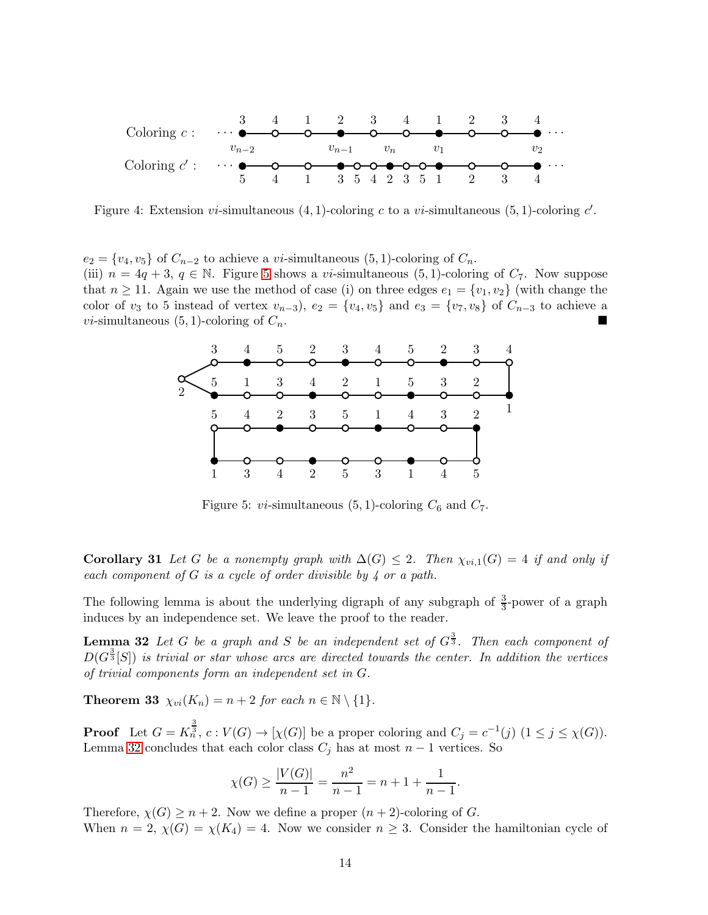

<span id="page-13-0"></span>Figure 4: Extension *vi*-simultaneous  $(4, 1)$ -coloring c to a *vi*-simultaneous  $(5, 1)$ -coloring c'.

 $e_2 = \{v_4, v_5\}$  of  $C_{n-2}$  to achieve a vi-simultaneous (5, 1)-coloring of  $C_n$ . (iii)  $n = 4q + 3$ ,  $q \in \mathbb{N}$ . Figure [5](#page-13-1) shows a *vi*-simultaneous (5, 1)-coloring of  $C_7$ . Now suppose that  $n \ge 11$ . Again we use the method of case (i) on three edges  $e_1 = \{v_1, v_2\}$  (with change the color of  $v_3$  to 5 instead of vertex  $v_{n-3}$ ,  $e_2 = \{v_4, v_5\}$  and  $e_3 = \{v_7, v_8\}$  of  $C_{n-3}$  to achieve a *vi*-simultaneous  $(5, 1)$ -coloring of  $C_n$ .



<span id="page-13-1"></span>Figure 5: *vi*-simultaneous  $(5, 1)$ -coloring  $C_6$  and  $C_7$ .

Corollary 31 *Let* G *be a nonempty graph with*  $\Delta(G) \leq 2$ . Then  $\chi_{vi,1}(G) = 4$  *if and only if each component of* G *is a cycle of order divisible by 4 or a path.*

The following lemma is about the underlying digraph of any subgraph of  $\frac{3}{3}$ -power of a graph induces by an independence set. We leave the proof to the reader.

**Lemma 32** Let G be a graph and S be an independent set of  $G^{\frac{3}{3}}$ . Then each component of  $D(G^{\frac{3}{3}}[S])$  is trivial or star whose arcs are directed towards the center. In addition the vertices *of trivial components form an independent set in* G*.*

**Theorem 33**  $\chi_{vi}(K_n) = n + 2$  *for each*  $n \in \mathbb{N} \setminus \{1\}.$ 

**Proof** Let  $G = K_n^{\frac{3}{3}}$ ,  $c: V(G) \to [\chi(G)]$  be a proper coloring and  $C_j = c^{-1}(j)$   $(1 \le j \le \chi(G))$ . Lemma [32](#page-13-2) concludes that each color class  $C_j$  has at most  $n-1$  vertices. So

<span id="page-13-2"></span>
$$
\chi(G) \ge \frac{|V(G)|}{n-1} = \frac{n^2}{n-1} = n+1+\frac{1}{n-1}.
$$

Therefore,  $\chi(G) \geq n+2$ . Now we define a proper  $(n+2)$ -coloring of G. When  $n = 2$ ,  $\chi(G) = \chi(K_4) = 4$ . Now we consider  $n \geq 3$ . Consider the hamiltonian cycle of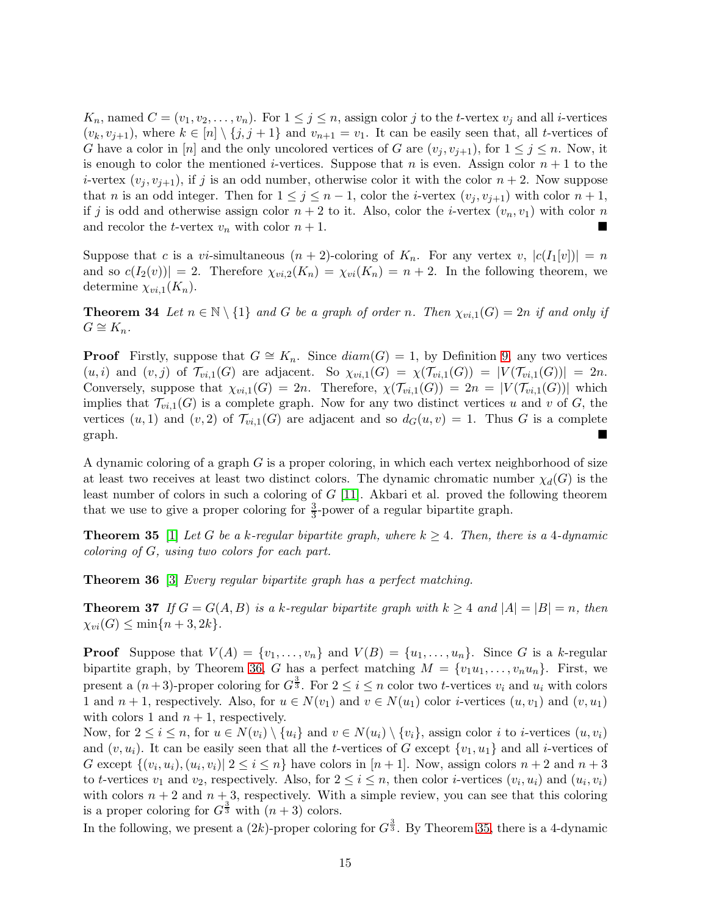$K_n$ , named  $C = (v_1, v_2, \ldots, v_n)$ . For  $1 \leq j \leq n$ , assign color j to the t-vertex  $v_j$  and all i-vertices  $(v_k, v_{i+1}),$  where  $k \in [n] \setminus \{j, j+1\}$  and  $v_{n+1} = v_1$ . It can be easily seen that, all *t*-vertices of G have a color in [n] and the only uncolored vertices of G are  $(v_i, v_{i+1})$ , for  $1 \leq j \leq n$ . Now, it is enough to color the mentioned *i*-vertices. Suppose that *n* is even. Assign color  $n + 1$  to the *i*-vertex  $(v_i, v_{i+1})$ , if j is an odd number, otherwise color it with the color  $n + 2$ . Now suppose that *n* is an odd integer. Then for  $1 \leq j \leq n-1$ , color the *i*-vertex  $(v_j, v_{j+1})$  with color  $n+1$ , if j is odd and otherwise assign color  $n + 2$  to it. Also, color the *i*-vertex  $(v_n, v_1)$  with color n and recolor the *t*-vertex  $v_n$  with color  $n + 1$ .

Suppose that c is a vi-simultaneous  $(n+2)$ -coloring of  $K_n$ . For any vertex v,  $|c(I_1[v])| = n$ and so  $c(I_2(v))|=2$ . Therefore  $\chi_{vi,2}(K_n)=\chi_{vi}(K_n)=n+2$ . In the following theorem, we determine  $\chi_{vi,1}(K_n)$ .

**Theorem 34** Let  $n \in \mathbb{N} \setminus \{1\}$  and G be a graph of order n. Then  $\chi_{vi,1}(G) = 2n$  if and only if  $G \cong K_n$ .

**Proof** Firstly, suppose that  $G \cong K_n$ . Since  $diam(G) = 1$ , by Definition [9,](#page-3-2) any two vertices  $(u, i)$  and  $(v, j)$  of  $\mathcal{T}_{vi,1}(G)$  are adjacent. So  $\chi_{vi,1}(G) = \chi(\mathcal{T}_{vi,1}(G)) = |V(\mathcal{T}_{vi,1}(G))| = 2n$ . Conversely, suppose that  $\chi_{vi,1}(G) = 2n$ . Therefore,  $\chi(\mathcal{T}_{vi,1}(G)) = 2n = |V(\mathcal{T}_{vi,1}(G))|$  which implies that  $\mathcal{T}_{vi,1}(G)$  is a complete graph. Now for any two distinct vertices u and v of G, the vertices  $(u, 1)$  and  $(v, 2)$  of  $\mathcal{T}_{vi,1}(G)$  are adjacent and so  $d_G(u, v) = 1$ . Thus G is a complete graph.

A dynamic coloring of a graph  $G$  is a proper coloring, in which each vertex neighborhood of size at least two receives at least two distinct colors. The dynamic chromatic number  $\chi_d(G)$  is the least number of colors in such a coloring of  $G$  [\[11\]](#page-17-6). Akbari et al. proved the following theorem that we use to give a proper coloring for  $\frac{3}{3}$ -power of a regular bipartite graph.

<span id="page-14-1"></span>**Theorem 35** [\[1\]](#page-16-9) Let G be a k-regular bipartite graph, where  $k \geq 4$ . Then, there is a 4-dynamic *coloring of* G*, using two colors for each part.*

<span id="page-14-2"></span><span id="page-14-0"></span>Theorem 36 [\[3\]](#page-16-0) *Every regular bipartite graph has a perfect matching.*

**Theorem 37** If  $G = G(A, B)$  is a k-regular bipartite graph with  $k \geq 4$  and  $|A| = |B| = n$ , then  $\chi_{vi}(G) \le \min\{n+3, 2k\}.$ 

**Proof** Suppose that  $V(A) = \{v_1, \ldots, v_n\}$  and  $V(B) = \{u_1, \ldots, u_n\}$ . Since G is a k-regular bipartite graph, by Theorem [36,](#page-14-0) G has a perfect matching  $M = \{v_1u_1, \ldots, v_nu_n\}$ . First, we present a  $(n+3)$ -proper coloring for  $G^{\frac{3}{3}}$ . For  $2 \leq i \leq n$  color two *t*-vertices  $v_i$  and  $u_i$  with colors 1 and  $n + 1$ , respectively. Also, for  $u \in N(v_1)$  and  $v \in N(u_1)$  color *i*-vertices  $(u, v_1)$  and  $(v, u_1)$ with colors 1 and  $n + 1$ , respectively.

Now, for  $2 \leq i \leq n$ , for  $u \in N(v_i) \setminus \{u_i\}$  and  $v \in N(u_i) \setminus \{v_i\}$ , assign color i to i-vertices  $(u, v_i)$ and  $(v, u_i)$ . It can be easily seen that all the t-vertices of G except  $\{v_1, u_1\}$  and all *i*-vertices of G except  $\{(v_i, u_i), (u_i, v_i) | 2 \le i \le n\}$  have colors in  $[n+1]$ . Now, assign colors  $n+2$  and  $n+3$ to t-vertices  $v_1$  and  $v_2$ , respectively. Also, for  $2 \le i \le n$ , then color *i*-vertices  $(v_i, u_i)$  and  $(u_i, v_i)$ with colors  $n + 2$  and  $n + 3$ , respectively. With a simple review, you can see that this coloring is a proper coloring for  $G^{\frac{3}{3}}$  with  $(n+3)$  colors.

In the following, we present a  $(2k)$ -proper coloring for  $G^{\frac{3}{3}}$ . By Theorem [35,](#page-14-1) there is a 4-dynamic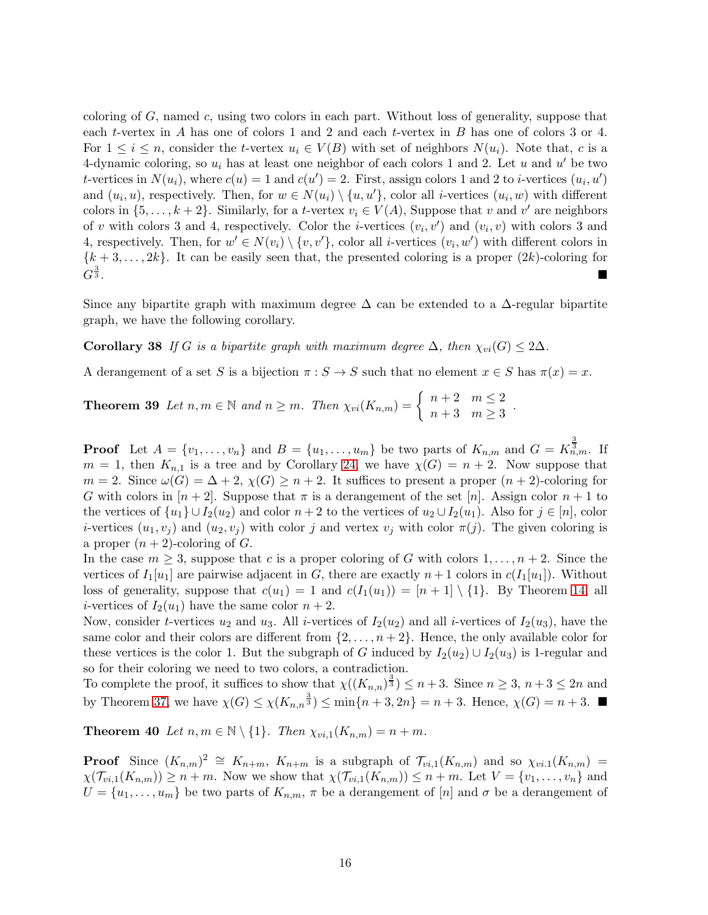coloring of  $G$ , named  $c$ , using two colors in each part. Without loss of generality, suppose that each t-vertex in A has one of colors 1 and 2 and each t-vertex in B has one of colors 3 or 4. For  $1 \leq i \leq n$ , consider the t-vertex  $u_i \in V(B)$  with set of neighbors  $N(u_i)$ . Note that, c is a 4-dynamic coloring, so  $u_i$  has at least one neighbor of each colors 1 and 2. Let u and u' be two t-vertices in  $N(u_i)$ , where  $c(u) = 1$  and  $c(u') = 2$ . First, assign colors 1 and 2 to *i*-vertices  $(u_i, u')$ and  $(u_i, u)$ , respectively. Then, for  $w \in N(u_i) \setminus \{u, u'\}$ , color all *i*-vertices  $(u_i, w)$  with different colors in  $\{5, \ldots, k+2\}$ . Similarly, for a t-vertex  $v_i \in V(A)$ , Suppose that v and v' are neighbors of v with colors 3 and 4, respectively. Color the *i*-vertices  $(v_i, v')$  and  $(v_i, v)$  with colors 3 and 4, respectively. Then, for  $w' \in N(v_i) \setminus \{v, v'\}$ , color all *i*-vertices  $(v_i, w')$  with different colors in  ${k + 3, ..., 2k}$ . It can be easily seen that, the presented coloring is a proper  $(2k)$ -coloring for  $G^{\frac{3}{3}}$  $\frac{3}{3}$ .

Since any bipartite graph with maximum degree  $\Delta$  can be extended to a  $\Delta$ -regular bipartite graph, we have the following corollary.

Corollary 38 *If* G *is a bipartite graph with maximum degree*  $\Delta$ *, then*  $\chi_{vi}(G) \leq 2\Delta$ *.* 

A derangement of a set S is a bijection  $\pi : S \to S$  such that no element  $x \in S$  has  $\pi(x) = x$ .

**Theorem 39** Let  $n, m \in \mathbb{N}$  and  $n \geq m$ . Then  $\chi_{vi}(K_{n,m}) = \begin{cases} n+2 & m \leq 2 \\ n+2 & m \leq 2 \end{cases}$  $\frac{n+2}{n+3}$   $\frac{m-2}{m \geq 3}$ .

**Proof** Let  $A = \{v_1, \ldots, v_n\}$  and  $B = \{u_1, \ldots, u_m\}$  be two parts of  $K_{n,m}$  and  $G = K_{n,m}^{\frac{3}{2}}$ . If  $m = 1$ , then  $K_{n,1}$  is a tree and by Corollary [24,](#page-9-1) we have  $\chi(G) = n + 2$ . Now suppose that  $m = 2$ . Since  $\omega(G) = \Delta + 2$ ,  $\chi(G) \geq n + 2$ . It suffices to present a proper  $(n + 2)$ -coloring for G with colors in  $[n+2]$ . Suppose that  $\pi$  is a derangement of the set  $[n]$ . Assign color  $n+1$  to the vertices of  $\{u_1\} \cup I_2(u_2)$  and color  $n+2$  to the vertices of  $u_2 \cup I_2(u_1)$ . Also for  $j \in [n]$ , color *i*-vertices  $(u_1, v_j)$  and  $(u_2, v_j)$  with color j and vertex  $v_j$  with color  $\pi(j)$ . The given coloring is a proper  $(n + 2)$ -coloring of G.

In the case  $m \geq 3$ , suppose that c is a proper coloring of G with colors  $1, \ldots, n+2$ . Since the vertices of  $I_1[u_1]$  are pairwise adjacent in G, there are exactly  $n+1$  colors in  $c(I_1[u_1])$ . Without loss of generality, suppose that  $c(u_1) = 1$  and  $c(I_1(u_1)) = [n+1] \setminus \{1\}$ . By Theorem [14,](#page-6-0) all *i*-vertices of  $I_2(u_1)$  have the same color  $n+2$ .

Now, consider t-vertices  $u_2$  and  $u_3$ . All *i*-vertices of  $I_2(u_2)$  and all *i*-vertices of  $I_2(u_3)$ , have the same color and their colors are different from  $\{2, \ldots, n+2\}$ . Hence, the only available color for these vertices is the color 1. But the subgraph of G induced by  $I_2(u_2) \cup I_2(u_3)$  is 1-regular and so for their coloring we need to two colors, a contradiction.

To complete the proof, it suffices to show that  $\chi((K_{n,n})^{\frac{3}{3}}) \leq n+3$ . Since  $n \geq 3$ ,  $n+3 \leq 2n$  and by Theorem [37,](#page-14-2) we have  $\chi(G) \leq \chi(K_{n,n}^{\frac{3}{3}}) \leq \min\{n+3, 2n\} = n+3$ . Hence,  $\chi(G) = n+3$ .

**Theorem 40** Let  $n, m \in \mathbb{N} \setminus \{1\}$ . Then  $\chi_{vi,1}(K_{n,m}) = n + m$ .

**Proof** Since  $(K_{n,m})^2 \cong K_{n+m}$ ,  $K_{n+m}$  is a subgraph of  $\mathcal{T}_{vi,1}(K_{n,m})$  and so  $\chi_{vi,1}(K_{n,m}) =$  $\chi(\mathcal{T}_{vi,1}(K_{n,m})) \geq n+m$ . Now we show that  $\chi(\mathcal{T}_{vi,1}(K_{n,m})) \leq n+m$ . Let  $V = \{v_1, \ldots, v_n\}$  and  $U = \{u_1, \ldots, u_m\}$  be two parts of  $K_{n,m}$ ,  $\pi$  be a derangement of  $[n]$  and  $\sigma$  be a derangement of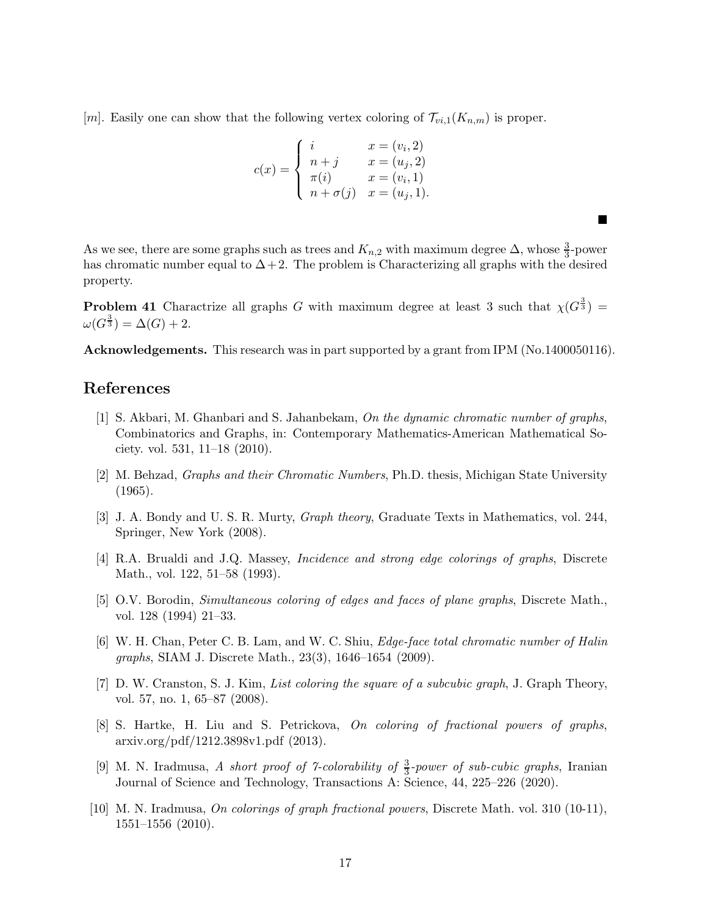[m]. Easily one can show that the following vertex coloring of  $\mathcal{T}_{vi,1}(K_{n,m})$  is proper.

$$
c(x) = \begin{cases} i & x = (v_i, 2) \\ n+j & x = (u_j, 2) \\ \pi(i) & x = (v_i, 1) \\ n+\sigma(j) & x = (u_j, 1). \end{cases}
$$

As we see, there are some graphs such as trees and  $K_{n,2}$  with maximum degree  $\Delta$ , whose  $\frac{3}{3}$ -power has chromatic number equal to  $\Delta + 2$ . The problem is Characterizing all graphs with the desired property.

 $\blacksquare$ 

**Problem 41** Charactrize all graphs G with maximum degree at least 3 such that  $\chi(G^{\frac{3}{3}})$  =  $\omega(G^{\frac{3}{3}})=\Delta(G)+2.$ 

Acknowledgements. This research was in part supported by a grant from IPM (No.1400050116).

# <span id="page-16-9"></span>References

- [1] S. Akbari, M. Ghanbari and S. Jahanbekam, *On the dynamic chromatic number of graphs*, Combinatorics and Graphs, in: Contemporary Mathematics-American Mathematical Society. vol. 531, 11–18 (2010).
- <span id="page-16-2"></span><span id="page-16-0"></span>[2] M. Behzad, *Graphs and their Chromatic Numbers*, Ph.D. thesis, Michigan State University (1965).
- [3] J. A. Bondy and U. S. R. Murty, *Graph theory*, Graduate Texts in Mathematics, vol. 244, Springer, New York (2008).
- <span id="page-16-1"></span>[4] R.A. Brualdi and J.Q. Massey, *Incidence and strong edge colorings of graphs*, Discrete Math., vol. 122, 51–58 (1993).
- <span id="page-16-3"></span>[5] O.V. Borodin, *Simultaneous coloring of edges and faces of plane graphs*, Discrete Math., vol. 128 (1994) 21–33.
- <span id="page-16-4"></span>[6] W. H. Chan, Peter C. B. Lam, and W. C. Shiu, *Edge-face total chromatic number of Halin graphs*, SIAM J. Discrete Math., 23(3), 1646–1654 (2009).
- <span id="page-16-8"></span>[7] D. W. Cranston, S. J. Kim, *List coloring the square of a subcubic graph*, J. Graph Theory, vol. 57, no. 1, 65–87 (2008).
- <span id="page-16-6"></span>[8] S. Hartke, H. Liu and S. Petrickova, *On coloring of fractional powers of graphs*, arxiv.org/pdf/1212.3898v1.pdf (2013).
- <span id="page-16-7"></span>[9] M. N. Iradmusa, *A short proof of 7-colorability of* <sup>3</sup> 3 *-power of sub-cubic graphs*, Iranian Journal of Science and Technology, Transactions A: Science, 44, 225–226 (2020).
- <span id="page-16-5"></span>[10] M. N. Iradmusa, *On colorings of graph fractional powers*, Discrete Math. vol. 310 (10-11), 1551–1556 (2010).